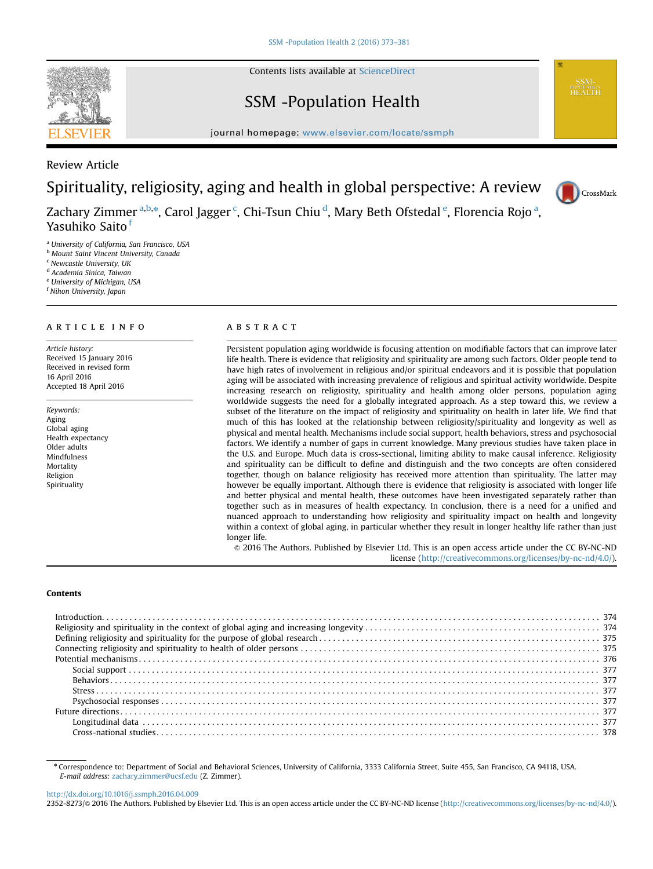

Contents lists available at [ScienceDirect](www.sciencedirect.com/science/journal/23528273)

## SSM -Population Health

journal homepage: <www.elsevier.com/locate/ssmph>p/locate/ssmphp/locate/ssmphp/locate/ssm

# Review Article Spirituality, religiosity, aging and health in global perspective: A review



Zachary Zimmer <sup>a,b,\*</sup>, Carol Jagger <sup>c</sup>, Chi-Tsun Chiu <sup>d</sup>, Mary Beth Ofstedal <sup>e</sup>, Florencia Rojo <sup>a</sup>, Yasuhiko Saito <sup>f</sup>

<sup>a</sup> University of California, San Francisco, USA

**b Mount Saint Vincent University, Canada** 

<sup>c</sup> Newcastle University, UK

<sup>d</sup> Academia Sinica, Taiwan

<sup>e</sup> University of Michigan, USA

<sup>f</sup> Nihon University, Japan

## article info

Article history: Received 15 January 2016 Received in revised form 16 April 2016 Accepted 18 April 2016

Keywords: Aging Global aging Health expectancy Older adults Mindfulness Mortality Religion Spirituality

## ABSTRACT

Persistent population aging worldwide is focusing attention on modifiable factors that can improve later life health. There is evidence that religiosity and spirituality are among such factors. Older people tend to have high rates of involvement in religious and/or spiritual endeavors and it is possible that population aging will be associated with increasing prevalence of religious and spiritual activity worldwide. Despite increasing research on religiosity, spirituality and health among older persons, population aging worldwide suggests the need for a globally integrated approach. As a step toward this, we review a subset of the literature on the impact of religiosity and spirituality on health in later life. We find that much of this has looked at the relationship between religiosity/spirituality and longevity as well as physical and mental health. Mechanisms include social support, health behaviors, stress and psychosocial factors. We identify a number of gaps in current knowledge. Many previous studies have taken place in the U.S. and Europe. Much data is cross-sectional, limiting ability to make causal inference. Religiosity and spirituality can be difficult to define and distinguish and the two concepts are often considered together, though on balance religiosity has received more attention than spirituality. The latter may however be equally important. Although there is evidence that religiosity is associated with longer life and better physical and mental health, these outcomes have been investigated separately rather than together such as in measures of health expectancy. In conclusion, there is a need for a unified and nuanced approach to understanding how religiosity and spirituality impact on health and longevity within a context of global aging, in particular whether they result in longer healthy life rather than just longer life.

& 2016 The Authors. Published by Elsevier Ltd. This is an open access article under the CC BY-NC-ND license (http://creativecommons.org/licenses/by-nc-nd/4.0/).

#### **Contents**

<sup>n</sup> Correspondence to: Department of Social and Behavioral Sciences, University of California, 3333 California Street, Suite 455, San Francisco, CA 94118, USA. E-mail address: [zachary.zimmer@ucsf.edu](mailto:zachary.zimmer@ucsf.edu) (Z. Zimmer).

<http://dx.doi.org/10.1016/j.ssmph.2016.04.009>

2352-8273/@ 2016 The Authors. Published by Elsevier Ltd. This is an open access article under the CC BY-NC-ND license (http://creativecommons.org/licenses/by-nc-nd/4.0/).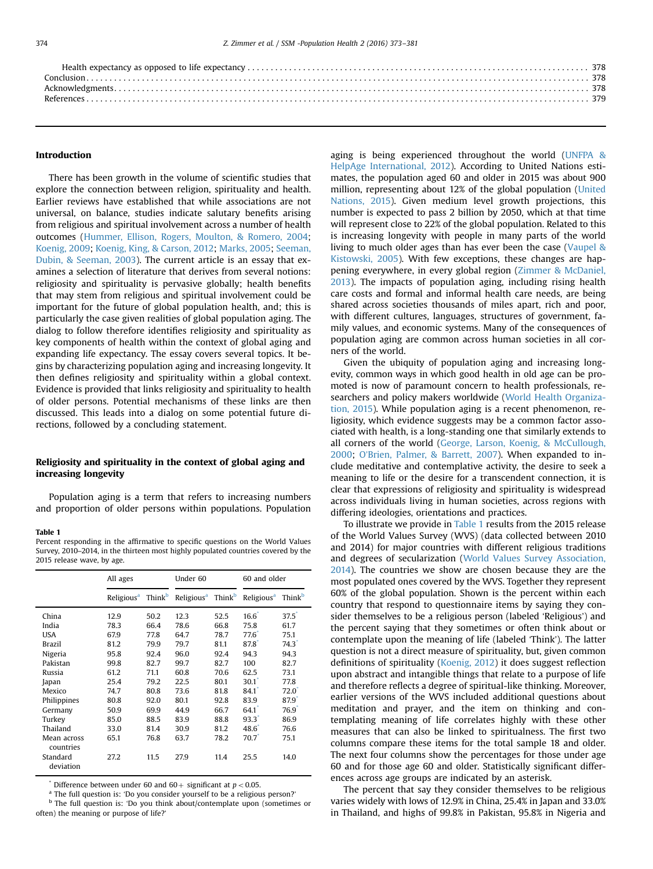<span id="page-1-0"></span>

## Introduction

There has been growth in the volume of scientific studies that explore the connection between religion, spirituality and health. Earlier reviews have established that while associations are not universal, on balance, studies indicate salutary benefits arising from religious and spiritual involvement across a number of health outcomes [\(Hummer, Ellison, Rogers, Moulton,](#page-6-0) [& Romero, 2004;](#page-6-0) [Koenig, 2009](#page-6-0); [Koenig, King, & Carson, 2012](#page-7-0); [Marks, 2005](#page-7-0); [Seeman,](#page-8-0) [Dubin, & Seeman, 2003](#page-8-0)). The current article is an essay that examines a selection of literature that derives from several notions: religiosity and spirituality is pervasive globally; health benefits that may stem from religious and spiritual involvement could be important for the future of global population health, and; this is particularly the case given realities of global population aging. The dialog to follow therefore identifies religiosity and spirituality as key components of health within the context of global aging and expanding life expectancy. The essay covers several topics. It begins by characterizing population aging and increasing longevity. It then defines religiosity and spirituality within a global context. Evidence is provided that links religiosity and spirituality to health of older persons. Potential mechanisms of these links are then discussed. This leads into a dialog on some potential future directions, followed by a concluding statement.

## Religiosity and spirituality in the context of global aging and increasing longevity

Population aging is a term that refers to increasing numbers and proportion of older persons within populations. Population

#### Table 1

Percent responding in the affirmative to specific questions on the World Values Survey, 2010–2014, in the thirteen most highly populated countries covered by the 2015 release wave, by age.

|                          | All ages                                  |              | Under 60               |                    | 60 and older           |                     |
|--------------------------|-------------------------------------------|--------------|------------------------|--------------------|------------------------|---------------------|
|                          | Religious <sup>a</sup> Think <sup>b</sup> |              | Religious <sup>a</sup> | Think <sup>b</sup> | Religious <sup>a</sup> | Think <sup>b</sup>  |
| China<br>India           | 12.9<br>78.3                              | 50.2<br>66.4 | 12.3<br>78.6           | 52.5<br>66.8       | 16.6<br>75.8           | 37.5<br>61.7        |
| <b>USA</b>               | 67.9                                      | 77.8         | 64.7                   | 78.7               | $77.6^\circ$           | 75.1                |
| Brazil                   | 81.2                                      | 79.9         | 79.7                   | 81.1               | $87.8$ <sup>*</sup>    | $74.3$ <sup>*</sup> |
| Nigeria                  | 95.8                                      | 92.4         | 96.0                   | 92.4               | 94.3                   | 94.3                |
| Pakistan                 | 99.8                                      | 82.7         | 99.7                   | 82.7               | 100                    | 82.7                |
| Russia                   | 61.2                                      | 71.1         | 60.8                   | 70.6               | 62.5                   | 73.1                |
| Japan                    | 25.4                                      | 79.2         | 22.5                   | 80.1               | 30.1                   | 77.8                |
| Mexico                   | 74.7                                      | 80.8         | 73.6                   | 81.8               | 84.1                   | 72.0                |
| Philippines              | 80.8                                      | 92.0         | 80.1                   | 92.8               | 83.9                   | $87.9^{\degree}$    |
| Germany                  | 50.9                                      | 69.9         | 44.9                   | 66.7               | 64.1                   | 76.9                |
| Turkey                   | 85.0                                      | 88.5         | 83.9                   | 88.8               | $93.3^{\degree}$       | 86.9                |
| Thailand                 | 33.0                                      | 81.4         | 30.9                   | 81.2               | 48.6                   | 76.6                |
| Mean across<br>countries | 65.1                                      | 76.8         | 63.7                   | 78.2               | 70.7                   | 75.1                |
| Standard<br>deviation    | 27.2                                      | 11.5         | 27.9                   | 11.4               | 25.5                   | 14.0                |

Difference between under 60 and 60 + significant at  $p < 0.05$ .<br>The full question is: 'Do you consider yourself to be a religious person?

<sup>b</sup> The full question is: 'Do you think about/contemplate upon (sometimes or often) the meaning or purpose of life?'

aging is being experienced throughout the world ([UNFPA](#page-8-0) & [HelpAge International, 2012](#page-8-0)). According to United Nations estimates, the population aged 60 and older in 2015 was about 900 million, representing about 12% of the global population [\(United](#page-8-0) [Nations, 2015](#page-8-0)). Given medium level growth projections, this number is expected to pass 2 billion by 2050, which at that time will represent close to 22% of the global population. Related to this is increasing longevity with people in many parts of the world living to much older ages than has ever been the case ([Vaupel](#page-8-0) & [Kistowski, 2005\)](#page-8-0). With few exceptions, these changes are happening everywhere, in every global region ([Zimmer](#page-8-0) & [McDaniel,](#page-8-0) [2013\)](#page-8-0). The impacts of population aging, including rising health care costs and formal and informal health care needs, are being shared across societies thousands of miles apart, rich and poor, with different cultures, languages, structures of government, family values, and economic systems. Many of the consequences of population aging are common across human societies in all corners of the world.

Given the ubiquity of population aging and increasing longevity, common ways in which good health in old age can be promoted is now of paramount concern to health professionals, researchers and policy makers worldwide [\(World Health Organiza](#page-8-0)[tion, 2015](#page-8-0)). While population aging is a recent phenomenon, religiosity, which evidence suggests may be a common factor associated with health, is a long-standing one that similarly extends to all corners of the world ([George, Larson, Koenig,](#page-6-0) & [McCullough,](#page-6-0) [2000](#page-6-0); O'[Brien, Palmer,](#page-7-0) & [Barrett, 2007\)](#page-7-0). When expanded to include meditative and contemplative activity, the desire to seek a meaning to life or the desire for a transcendent connection, it is clear that expressions of religiosity and spirituality is widespread across individuals living in human societies, across regions with differing ideologies, orientations and practices.

To illustrate we provide in Table 1 results from the 2015 release of the World Values Survey (WVS) (data collected between 2010 and 2014) for major countries with different religious traditions and degrees of secularization ([World Values Survey Association,](#page-8-0) [2014\)](#page-8-0). The countries we show are chosen because they are the most populated ones covered by the WVS. Together they represent 60% of the global population. Shown is the percent within each country that respond to questionnaire items by saying they consider themselves to be a religious person (labeled 'Religious') and the percent saying that they sometimes or often think about or contemplate upon the meaning of life (labeled 'Think'). The latter question is not a direct measure of spirituality, but, given common definitions of spirituality [\(Koenig, 2012](#page-6-0)) it does suggest reflection upon abstract and intangible things that relate to a purpose of life and therefore reflects a degree of spiritual-like thinking. Moreover, earlier versions of the WVS included additional questions about meditation and prayer, and the item on thinking and contemplating meaning of life correlates highly with these other measures that can also be linked to spiritualness. The first two columns compare these items for the total sample 18 and older. The next four columns show the percentages for those under age 60 and for those age 60 and older. Statistically significant differences across age groups are indicated by an asterisk.

The percent that say they consider themselves to be religious varies widely with lows of 12.9% in China, 25.4% in Japan and 33.0% in Thailand, and highs of 99.8% in Pakistan, 95.8% in Nigeria and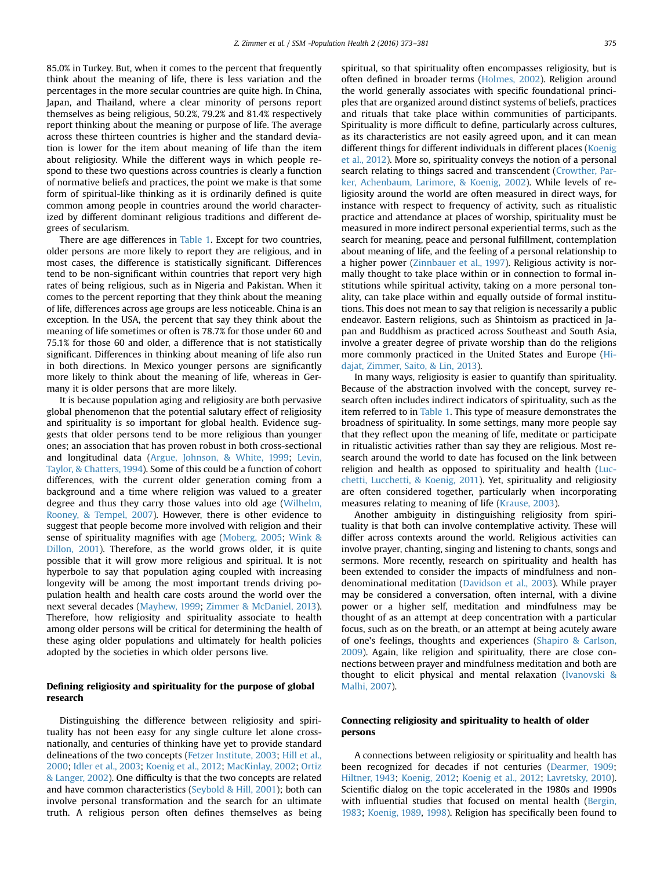85.0% in Turkey. But, when it comes to the percent that frequently think about the meaning of life, there is less variation and the percentages in the more secular countries are quite high. In China, Japan, and Thailand, where a clear minority of persons report themselves as being religious, 50.2%, 79.2% and 81.4% respectively report thinking about the meaning or purpose of life. The average across these thirteen countries is higher and the standard deviation is lower for the item about meaning of life than the item about religiosity. While the different ways in which people respond to these two questions across countries is clearly a function of normative beliefs and practices, the point we make is that some form of spiritual-like thinking as it is ordinarily defined is quite common among people in countries around the world characterized by different dominant religious traditions and different degrees of secularism.

There are age differences in [Table 1](#page-1-0). Except for two countries, older persons are more likely to report they are religious, and in most cases, the difference is statistically significant. Differences tend to be non-significant within countries that report very high rates of being religious, such as in Nigeria and Pakistan. When it comes to the percent reporting that they think about the meaning of life, differences across age groups are less noticeable. China is an exception. In the USA, the percent that say they think about the meaning of life sometimes or often is 78.7% for those under 60 and 75.1% for those 60 and older, a difference that is not statistically significant. Differences in thinking about meaning of life also run in both directions. In Mexico younger persons are significantly more likely to think about the meaning of life, whereas in Germany it is older persons that are more likely.

It is because population aging and religiosity are both pervasive global phenomenon that the potential salutary effect of religiosity and spirituality is so important for global health. Evidence suggests that older persons tend to be more religious than younger ones; an association that has proven robust in both cross-sectional and longitudinal data [\(Argue, Johnson,](#page-6-0) [& White, 1999](#page-6-0); [Levin,](#page-7-0) [Taylor,](#page-7-0) & [Chatters, 1994](#page-7-0)). Some of this could be a function of cohort differences, with the current older generation coming from a background and a time where religion was valued to a greater degree and thus they carry those values into old age ([Wilhelm,](#page-8-0) [Rooney,](#page-8-0) [& Tempel, 2007\)](#page-8-0). However, there is other evidence to suggest that people become more involved with religion and their sense of spirituality magnifies with age [\(Moberg, 2005](#page-7-0); [Wink &](#page-8-0) [Dillon, 2001\)](#page-8-0). Therefore, as the world grows older, it is quite possible that it will grow more religious and spiritual. It is not hyperbole to say that population aging coupled with increasing longevity will be among the most important trends driving population health and health care costs around the world over the next several decades ([Mayhew, 1999;](#page-7-0) [Zimmer](#page-8-0) & [McDaniel, 2013\)](#page-8-0). Therefore, how religiosity and spirituality associate to health among older persons will be critical for determining the health of these aging older populations and ultimately for health policies adopted by the societies in which older persons live.

## Defining religiosity and spirituality for the purpose of global research

Distinguishing the difference between religiosity and spirituality has not been easy for any single culture let alone crossnationally, and centuries of thinking have yet to provide standard delineations of the two concepts ([Fetzer Institute, 2003](#page-6-0); [Hill et al.,](#page-6-0) [2000](#page-6-0); [Idler et al., 2003](#page-6-0); [Koenig et al., 2012](#page-7-0); [MacKinlay, 2002;](#page-7-0) [Ortiz](#page-7-0) [& Langer, 2002\)](#page-7-0). One difficulty is that the two concepts are related and have common characteristics [\(Seybold](#page-8-0) & [Hill, 2001](#page-8-0)); both can involve personal transformation and the search for an ultimate truth. A religious person often defines themselves as being spiritual, so that spirituality often encompasses religiosity, but is often defined in broader terms [\(Holmes, 2002\)](#page-6-0). Religion around the world generally associates with specific foundational principles that are organized around distinct systems of beliefs, practices and rituals that take place within communities of participants. Spirituality is more difficult to define, particularly across cultures, as its characteristics are not easily agreed upon, and it can mean different things for different individuals in different places [\(Koenig](#page-7-0) [et al., 2012\)](#page-7-0). More so, spirituality conveys the notion of a personal search relating to things sacred and transcendent ([Crowther, Par](#page-6-0)[ker, Achenbaum, Larimore,](#page-6-0) [& Koenig, 2002\)](#page-6-0). While levels of religiosity around the world are often measured in direct ways, for instance with respect to frequency of activity, such as ritualistic practice and attendance at places of worship, spirituality must be measured in more indirect personal experiential terms, such as the search for meaning, peace and personal fulfillment, contemplation about meaning of life, and the feeling of a personal relationship to a higher power [\(Zinnbauer et al., 1997\)](#page-8-0). Religious activity is normally thought to take place within or in connection to formal institutions while spiritual activity, taking on a more personal tonality, can take place within and equally outside of formal institutions. This does not mean to say that religion is necessarily a public endeavor. Eastern religions, such as Shintoism as practiced in Japan and Buddhism as practiced across Southeast and South Asia, involve a greater degree of private worship than do the religions more commonly practiced in the United States and Europe ([Hi](#page-6-0)[dajat, Zimmer, Saito,](#page-6-0) [& Lin, 2013](#page-6-0)).

In many ways, religiosity is easier to quantify than spirituality. Because of the abstraction involved with the concept, survey research often includes indirect indicators of spirituality, such as the item referred to in [Table 1.](#page-1-0) This type of measure demonstrates the broadness of spirituality. In some settings, many more people say that they reflect upon the meaning of life, meditate or participate in ritualistic activities rather than say they are religious. Most research around the world to date has focused on the link between religion and health as opposed to spirituality and health [\(Luc](#page-7-0)[chetti, Lucchetti, & Koenig, 2011](#page-7-0)). Yet, spirituality and religiosity are often considered together, particularly when incorporating measures relating to meaning of life [\(Krause, 2003\)](#page-7-0).

Another ambiguity in distinguishing religiosity from spirituality is that both can involve contemplative activity. These will differ across contexts around the world. Religious activities can involve prayer, chanting, singing and listening to chants, songs and sermons. More recently, research on spirituality and health has been extended to consider the impacts of mindfulness and nondenominational meditation [\(Davidson et al., 2003](#page-6-0)). While prayer may be considered a conversation, often internal, with a divine power or a higher self, meditation and mindfulness may be thought of as an attempt at deep concentration with a particular focus, such as on the breath, or an attempt at being acutely aware of one's feelings, thoughts and experiences ([Shapiro & Carlson,](#page-8-0) [2009\)](#page-8-0). Again, like religion and spirituality, there are close connections between prayer and mindfulness meditation and both are thought to elicit physical and mental relaxation [\(Ivanovski &](#page-6-0) [Malhi, 2007](#page-6-0)).

## Connecting religiosity and spirituality to health of older persons

A connections between religiosity or spirituality and health has been recognized for decades if not centuries [\(Dearmer, 1909;](#page-6-0) [Hiltner, 1943;](#page-6-0) [Koenig, 2012;](#page-6-0) [Koenig et al., 2012](#page-7-0); [Lavretsky, 2010\)](#page-7-0). Scientific dialog on the topic accelerated in the 1980s and 1990s with influential studies that focused on mental health [\(Bergin,](#page-6-0) [1983](#page-6-0); [Koenig, 1989](#page-6-0), [1998\)](#page-6-0). Religion has specifically been found to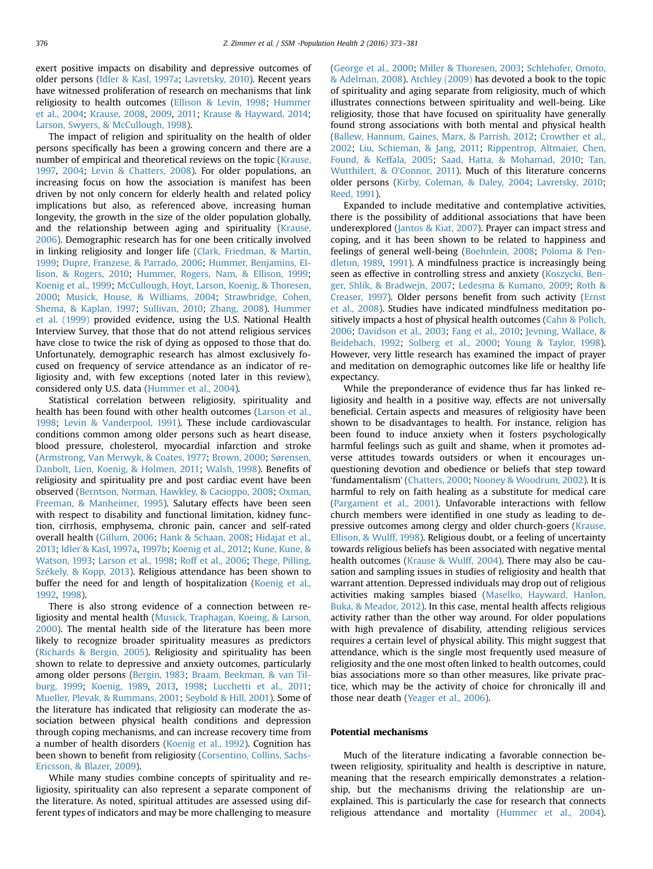exert positive impacts on disability and depressive outcomes of older persons [\(Idler & Kasl, 1997a;](#page-6-0) [Lavretsky, 2010](#page-7-0)). Recent years have witnessed proliferation of research on mechanisms that link religiosity to health outcomes ([Ellison](#page-6-0) [& Levin, 1998;](#page-6-0) [Hummer](#page-6-0) [et al., 2004](#page-6-0); [Krause, 2008](#page-7-0), [2009,](#page-7-0) [2011;](#page-7-0) [Krause & Hayward, 2014;](#page-7-0) [Larson, Swyers,](#page-7-0) & [McCullough, 1998](#page-7-0)).

The impact of religion and spirituality on the health of older persons specifically has been a growing concern and there are a number of empirical and theoretical reviews on the topic [\(Krause,](#page-7-0) [1997](#page-7-0), [2004](#page-7-0); [Levin & Chatters, 2008\)](#page-7-0). For older populations, an increasing focus on how the association is manifest has been driven by not only concern for elderly health and related policy implications but also, as referenced above, increasing human longevity, the growth in the size of the older population globally, and the relationship between aging and spirituality [\(Krause,](#page-7-0) [2006](#page-7-0)). Demographic research has for one been critically involved in linking religiosity and longer life ([Clark, Friedman, & Martin,](#page-6-0) [1999](#page-6-0); [Dupre, Franzese, & Parrado, 2006;](#page-6-0) [Hummer, Benjamins, El](#page-6-0)[lison,](#page-6-0) [& Rogers, 2010;](#page-6-0) [Hummer, Rogers, Nam,](#page-6-0) & [Ellison, 1999;](#page-6-0) [Koenig et al., 1999;](#page-7-0) [McCullough, Hoyt, Larson, Koenig, & Thoresen,](#page-7-0) [2000](#page-7-0); [Musick, House, & Williams, 2004;](#page-7-0) [Strawbridge, Cohen,](#page-8-0) [Shema,](#page-8-0) & [Kaplan, 1997;](#page-8-0) [Sullivan, 2010](#page-8-0); [Zhang, 2008\)](#page-8-0). [Hummer](#page-6-0) [et al. \(1999\)](#page-6-0) provided evidence, using the U.S. National Health Interview Survey, that those that do not attend religious services have close to twice the risk of dying as opposed to those that do. Unfortunately, demographic research has almost exclusively focused on frequency of service attendance as an indicator of religiosity and, with few exceptions (noted later in this review), considered only U.S. data ([Hummer et al., 2004](#page-6-0)).

Statistical correlation between religiosity, spirituality and health has been found with other health outcomes [\(Larson et al.,](#page-7-0) [1998](#page-7-0); [Levin](#page-7-0) & [Vanderpool, 1991](#page-7-0)). These include cardiovascular conditions common among older persons such as heart disease, blood pressure, cholesterol, myocardial infarction and stroke ([Armstrong, Van Merwyk,](#page-6-0) [& Coates, 1977](#page-6-0); [Brown, 2000](#page-6-0); [Sørensen,](#page-8-0) [Danbolt, Lien, Koenig, & Holmen, 2011](#page-8-0); [Walsh, 1998\)](#page-8-0). Benefits of religiosity and spirituality pre and post cardiac event have been observed ([Berntson, Norman, Hawkley, & Cacioppo, 2008](#page-6-0); [Oxman,](#page-7-0) [Freeman, & Manheimer, 1995\)](#page-7-0). Salutary effects have been seen with respect to disability and functional limitation, kidney function, cirrhosis, emphysema, chronic pain, cancer and self-rated overall health ([Gillum, 2006](#page-6-0); [Hank & Schaan, 2008;](#page-6-0) [Hidajat et al.,](#page-6-0) [2013;](#page-6-0) [Idler & Kasl, 1997a](#page-6-0), [1997b](#page-6-0); [Koenig et al., 2012](#page-7-0); [Kune, Kune,](#page-7-0) & [Watson, 1993](#page-7-0); [Larson et al., 1998;](#page-7-0) [Roff et al., 2006](#page-7-0); [Thege, Pilling,](#page-8-0) [Székely,](#page-8-0) & [Kopp, 2013](#page-8-0)). Religious attendance has been shown to buffer the need for and length of hospitalization [\(Koenig et al.,](#page-6-0) [1992](#page-6-0), [1998](#page-7-0)).

There is also strong evidence of a connection between religiosity and mental health [\(Musick, Traphagan, Koeing,](#page-7-0) [& Larson,](#page-7-0) [2000](#page-7-0)). The mental health side of the literature has been more likely to recognize broader spirituality measures as predictors ([Richards](#page-7-0) [& Bergin, 2005](#page-7-0)). Religiosity and spirituality has been shown to relate to depressive and anxiety outcomes, particularly among older persons [\(Bergin, 1983;](#page-6-0) [Braam, Beekman,](#page-6-0) & [van Til](#page-6-0)[burg, 1999](#page-6-0); [Koenig, 1989,](#page-6-0) [2013](#page-6-0), [1998](#page-6-0); [Lucchetti et al., 2011;](#page-7-0) [Mueller, Plevak, & Rummans, 2001](#page-7-0); [Seybold](#page-8-0) [& Hill, 2001\)](#page-8-0). Some of the literature has indicated that religiosity can moderate the association between physical health conditions and depression through coping mechanisms, and can increase recovery time from a number of health disorders ([Koenig et al., 1992](#page-6-0)). Cognition has been shown to benefit from religiosity [\(Corsentino, Collins, Sachs-](#page-6-0)[Ericsson, & Blazer, 2009\)](#page-6-0).

While many studies combine concepts of spirituality and religiosity, spirituality can also represent a separate component of the literature. As noted, spiritual attitudes are assessed using different types of indicators and may be more challenging to measure

([George et al., 2000](#page-6-0); [Miller](#page-7-0) & [Thoresen, 2003](#page-7-0); [Schlehofer, Omoto,](#page-8-0) [& Adelman, 2008](#page-8-0)). [Atchley \(2009\)](#page-6-0) has devoted a book to the topic of spirituality and aging separate from religiosity, much of which illustrates connections between spirituality and well-being. Like religiosity, those that have focused on spirituality have generally found strong associations with both mental and physical health ([Ballew, Hannum, Gaines, Marx,](#page-6-0) & [Parrish, 2012](#page-6-0); [Crowther et al.,](#page-6-0) [2002;](#page-6-0) [Liu, Schieman, & Jang, 2011;](#page-7-0) [Rippentrop, Altmaier, Chen,](#page-7-0) [Found,](#page-7-0) & [Keffala, 2005;](#page-7-0) [Saad, Hatta,](#page-7-0) & [Mohamad, 2010;](#page-7-0) [Tan,](#page-8-0) [Wutthilert, &](#page-8-0) O'[Connor, 2011\)](#page-8-0). Much of this literature concerns older persons [\(Kirby, Coleman,](#page-6-0) & [Daley, 2004](#page-6-0); [Lavretsky, 2010;](#page-7-0) [Reed, 1991](#page-7-0)).

Expanded to include meditative and contemplative activities, there is the possibility of additional associations that have been underexplored [\(Jantos & Kiat, 2007\)](#page-6-0). Prayer can impact stress and coping, and it has been shown to be related to happiness and feelings of general well-being ([Boehnlein, 2008;](#page-6-0) [Poloma & Pen](#page-7-0)[dleton, 1989](#page-7-0), [1991\)](#page-7-0). A mindfulness practice is increasingly being seen as effective in controlling stress and anxiety ([Koszycki, Ben](#page-7-0)[ger, Shlik, & Bradwejn, 2007](#page-7-0); [Ledesma & Kumano, 2009;](#page-7-0) [Roth](#page-7-0) & [Creaser, 1997](#page-7-0)). Older persons benefit from such activity [\(Ernst](#page-6-0) [et al., 2008\)](#page-6-0). Studies have indicated mindfulness meditation po-sitively impacts a host of physical health outcomes [\(Cahn & Polich,](#page-6-0) [2006](#page-6-0); [Davidson et al., 2003;](#page-6-0) [Fang et al., 2010](#page-6-0); [Jevning, Wallace,](#page-6-0) & [Beidebach, 1992](#page-6-0); [Solberg et al., 2000](#page-8-0); [Young & Taylor, 1998\)](#page-8-0). However, very little research has examined the impact of prayer and meditation on demographic outcomes like life or healthy life expectancy.

While the preponderance of evidence thus far has linked religiosity and health in a positive way, effects are not universally beneficial. Certain aspects and measures of religiosity have been shown to be disadvantages to health. For instance, religion has been found to induce anxiety when it fosters psychologically harmful feelings such as guilt and shame, when it promotes adverse attitudes towards outsiders or when it encourages unquestioning devotion and obedience or beliefs that step toward 'fundamentalism' [\(Chatters, 2000](#page-6-0); [Nooney](#page-7-0) & [Woodrum, 2002](#page-7-0)). It is harmful to rely on faith healing as a substitute for medical care ([Pargament et al., 2001\)](#page-7-0). Unfavorable interactions with fellow church members were identified in one study as leading to depressive outcomes among clergy and older church-goers [\(Krause,](#page-7-0) [Ellison,](#page-7-0) [& Wulff, 1998](#page-7-0)). Religious doubt, or a feeling of uncertainty towards religious beliefs has been associated with negative mental health outcomes ([Krause](#page-7-0) [& Wulff, 2004\)](#page-7-0). There may also be causation and sampling issues in studies of religiosity and health that warrant attention. Depressed individuals may drop out of religious activities making samples biased [\(Maselko, Hayward, Hanlon,](#page-7-0) [Buka, & Meador, 2012](#page-7-0)). In this case, mental health affects religious activity rather than the other way around. For older populations with high prevalence of disability, attending religious services requires a certain level of physical ability. This might suggest that attendance, which is the single most frequently used measure of religiosity and the one most often linked to health outcomes, could bias associations more so than other measures, like private practice, which may be the activity of choice for chronically ill and those near death [\(Yeager et al., 2006\)](#page-8-0).

## Potential mechanisms

Much of the literature indicating a favorable connection between religiosity, spirituality and health is descriptive in nature, meaning that the research empirically demonstrates a relationship, but the mechanisms driving the relationship are unexplained. This is particularly the case for research that connects religious attendance and mortality [\(Hummer et al., 2004\)](#page-6-0).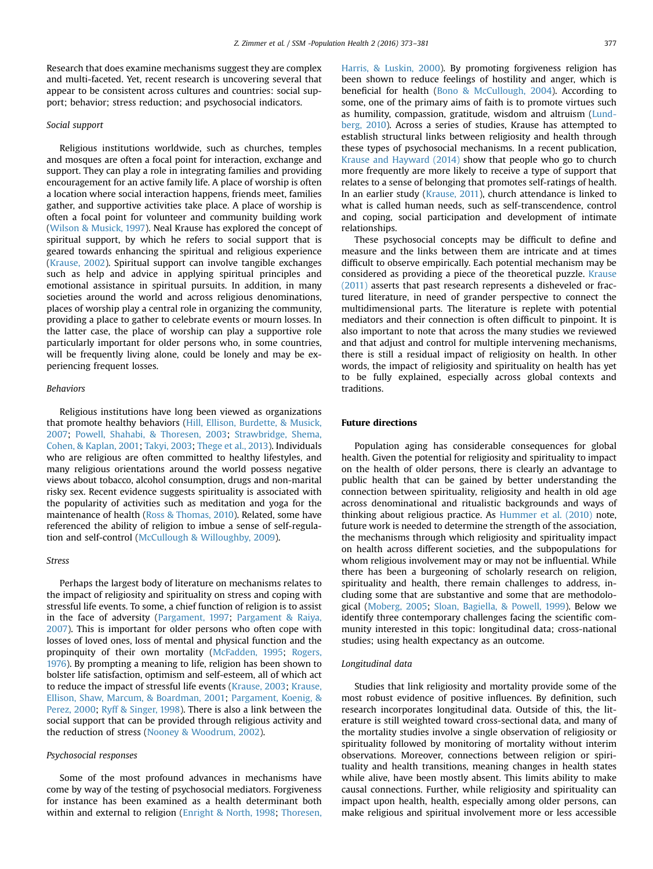Research that does examine mechanisms suggest they are complex and multi-faceted. Yet, recent research is uncovering several that appear to be consistent across cultures and countries: social support; behavior; stress reduction; and psychosocial indicators.

#### Social support

Religious institutions worldwide, such as churches, temples and mosques are often a focal point for interaction, exchange and support. They can play a role in integrating families and providing encouragement for an active family life. A place of worship is often a location where social interaction happens, friends meet, families gather, and supportive activities take place. A place of worship is often a focal point for volunteer and community building work ([Wilson & Musick, 1997](#page-8-0)). Neal Krause has explored the concept of spiritual support, by which he refers to social support that is geared towards enhancing the spiritual and religious experience ([Krause, 2002\)](#page-7-0). Spiritual support can involve tangible exchanges such as help and advice in applying spiritual principles and emotional assistance in spiritual pursuits. In addition, in many societies around the world and across religious denominations, places of worship play a central role in organizing the community, providing a place to gather to celebrate events or mourn losses. In the latter case, the place of worship can play a supportive role particularly important for older persons who, in some countries, will be frequently living alone, could be lonely and may be experiencing frequent losses.

#### Behaviors

Religious institutions have long been viewed as organizations that promote healthy behaviors ([Hill, Ellison, Burdette, & Musick,](#page-6-0) [2007;](#page-6-0) [Powell, Shahabi, & Thoresen, 2003](#page-7-0); [Strawbridge, Shema,](#page-8-0) [Cohen,](#page-8-0) [& Kaplan, 2001](#page-8-0); [Takyi, 2003](#page-8-0); [Thege et al., 2013\)](#page-8-0). Individuals who are religious are often committed to healthy lifestyles, and many religious orientations around the world possess negative views about tobacco, alcohol consumption, drugs and non-marital risky sex. Recent evidence suggests spirituality is associated with the popularity of activities such as meditation and yoga for the maintenance of health [\(Ross & Thomas, 2010](#page-7-0)). Related, some have referenced the ability of religion to imbue a sense of self-regulation and self-control ([McCullough & Willoughby, 2009\)](#page-7-0).

#### Stress

Perhaps the largest body of literature on mechanisms relates to the impact of religiosity and spirituality on stress and coping with stressful life events. To some, a chief function of religion is to assist in the face of adversity [\(Pargament, 1997](#page-7-0); [Pargament](#page-7-0) [& Raiya,](#page-7-0) [2007\)](#page-7-0). This is important for older persons who often cope with losses of loved ones, loss of mental and physical function and the propinquity of their own mortality [\(McFadden, 1995](#page-7-0); [Rogers,](#page-7-0) [1976](#page-7-0)). By prompting a meaning to life, religion has been shown to bolster life satisfaction, optimism and self-esteem, all of which act to reduce the impact of stressful life events [\(Krause, 2003;](#page-7-0) [Krause,](#page-7-0) [Ellison, Shaw, Marcum,](#page-7-0) & [Boardman, 2001](#page-7-0); [Pargament, Koenig, &](#page-7-0) [Perez, 2000](#page-7-0); [Ryff](#page-7-0) & [Singer, 1998](#page-7-0)). There is also a link between the social support that can be provided through religious activity and the reduction of stress [\(Nooney](#page-7-0) & [Woodrum, 2002\)](#page-7-0).

#### Psychosocial responses

Some of the most profound advances in mechanisms have come by way of the testing of psychosocial mediators. Forgiveness for instance has been examined as a health determinant both within and external to religion ([Enright & North, 1998](#page-6-0); [Thoresen,](#page-8-0) [Harris, & Luskin, 2000](#page-8-0)). By promoting forgiveness religion has been shown to reduce feelings of hostility and anger, which is beneficial for health ([Bono](#page-6-0) [& McCullough, 2004](#page-6-0)). According to some, one of the primary aims of faith is to promote virtues such as humility, compassion, gratitude, wisdom and altruism [\(Lund](#page-7-0)[berg, 2010](#page-7-0)). Across a series of studies, Krause has attempted to establish structural links between religiosity and health through these types of psychosocial mechanisms. In a recent publication, [Krause and Hayward \(2014\)](#page-7-0) show that people who go to church more frequently are more likely to receive a type of support that relates to a sense of belonging that promotes self-ratings of health. In an earlier study ([Krause, 2011](#page-7-0)), church attendance is linked to what is called human needs, such as self-transcendence, control and coping, social participation and development of intimate relationships.

These psychosocial concepts may be difficult to define and measure and the links between them are intricate and at times difficult to observe empirically. Each potential mechanism may be considered as providing a piece of the theoretical puzzle. [Krause](#page-7-0) [\(2011\)](#page-7-0) asserts that past research represents a disheveled or fractured literature, in need of grander perspective to connect the multidimensional parts. The literature is replete with potential mediators and their connection is often difficult to pinpoint. It is also important to note that across the many studies we reviewed and that adjust and control for multiple intervening mechanisms, there is still a residual impact of religiosity on health. In other words, the impact of religiosity and spirituality on health has yet to be fully explained, especially across global contexts and traditions.

## Future directions

Population aging has considerable consequences for global health. Given the potential for religiosity and spirituality to impact on the health of older persons, there is clearly an advantage to public health that can be gained by better understanding the connection between spirituality, religiosity and health in old age across denominational and ritualistic backgrounds and ways of thinking about religious practice. As [Hummer et al. \(2010\)](#page-6-0) note, future work is needed to determine the strength of the association, the mechanisms through which religiosity and spirituality impact on health across different societies, and the subpopulations for whom religious involvement may or may not be influential. While there has been a burgeoning of scholarly research on religion, spirituality and health, there remain challenges to address, including some that are substantive and some that are methodological ([Moberg, 2005;](#page-7-0) [Sloan, Bagiella,](#page-8-0) [& Powell, 1999\)](#page-8-0). Below we identify three contemporary challenges facing the scientific community interested in this topic: longitudinal data; cross-national studies; using health expectancy as an outcome.

## Longitudinal data

Studies that link religiosity and mortality provide some of the most robust evidence of positive influences. By definition, such research incorporates longitudinal data. Outside of this, the literature is still weighted toward cross-sectional data, and many of the mortality studies involve a single observation of religiosity or spirituality followed by monitoring of mortality without interim observations. Moreover, connections between religion or spirituality and health transitions, meaning changes in health states while alive, have been mostly absent. This limits ability to make causal connections. Further, while religiosity and spirituality can impact upon health, health, especially among older persons, can make religious and spiritual involvement more or less accessible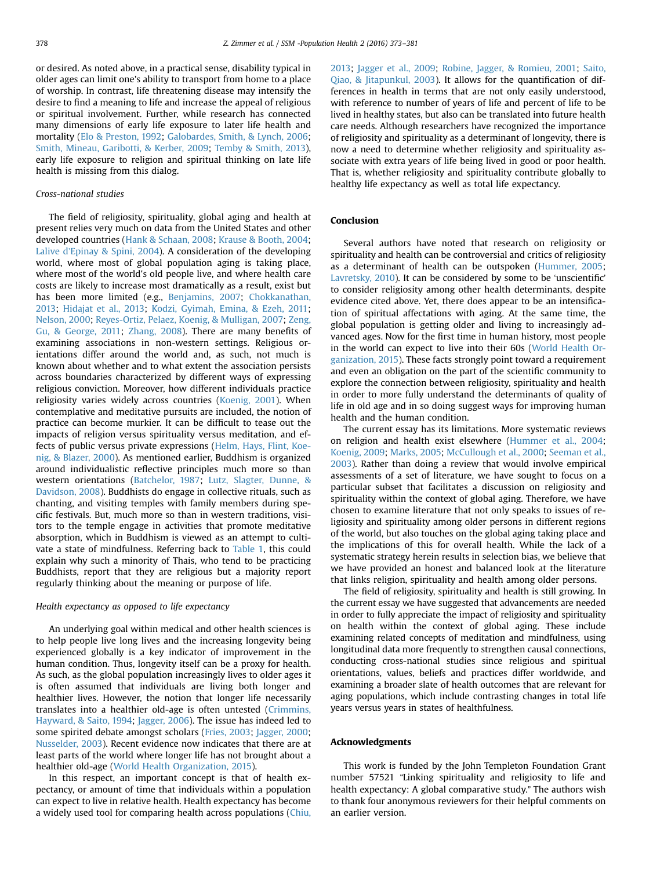or desired. As noted above, in a practical sense, disability typical in older ages can limit one's ability to transport from home to a place of worship. In contrast, life threatening disease may intensify the desire to find a meaning to life and increase the appeal of religious or spiritual involvement. Further, while research has connected many dimensions of early life exposure to later life health and mortality ([Elo & Preston, 1992](#page-6-0); [Galobardes, Smith,](#page-6-0) [& Lynch, 2006;](#page-6-0) [Smith, Mineau, Garibotti,](#page-8-0) & [Kerber, 2009](#page-8-0); [Temby](#page-8-0) [& Smith, 2013\)](#page-8-0), early life exposure to religion and spiritual thinking on late life health is missing from this dialog.

## Cross-national studies

The field of religiosity, spirituality, global aging and health at present relies very much on data from the United States and other developed countries ([Hank & Schaan, 2008;](#page-6-0) [Krause](#page-7-0) [& Booth, 2004;](#page-7-0) [Lalive d](#page-7-0)'Epinay & [Spini, 2004](#page-7-0)). A consideration of the developing world, where most of global population aging is taking place, where most of the world's old people live, and where health care costs are likely to increase most dramatically as a result, exist but has been more limited (e.g., [Benjamins, 2007](#page-6-0); [Chokkanathan,](#page-6-0) [2013;](#page-6-0) [Hidajat et al., 2013;](#page-6-0) [Kodzi, Gyimah, Emina, & Ezeh, 2011;](#page-6-0) [Nelson, 2000](#page-7-0); [Reyes-Ortiz, Pelaez, Koenig,](#page-7-0) [& Mulligan, 2007](#page-7-0); [Zeng,](#page-8-0) [Gu,](#page-8-0) [& George, 2011](#page-8-0); [Zhang, 2008\)](#page-8-0). There are many benefits of examining associations in non-western settings. Religious orientations differ around the world and, as such, not much is known about whether and to what extent the association persists across boundaries characterized by different ways of expressing religious conviction. Moreover, how different individuals practice religiosity varies widely across countries ([Koenig, 2001\)](#page-6-0). When contemplative and meditative pursuits are included, the notion of practice can become murkier. It can be difficult to tease out the impacts of religion versus spirituality versus meditation, and effects of public versus private expressions [\(Helm, Hays, Flint, Koe](#page-6-0)[nig,](#page-6-0) & [Blazer, 2000\)](#page-6-0). As mentioned earlier, Buddhism is organized around individualistic reflective principles much more so than western orientations [\(Batchelor, 1987](#page-6-0); [Lutz, Slagter, Dunne,](#page-7-0) & [Davidson, 2008](#page-7-0)). Buddhists do engage in collective rituals, such as chanting, and visiting temples with family members during specific festivals. But, much more so than in western traditions, visitors to the temple engage in activities that promote meditative absorption, which in Buddhism is viewed as an attempt to cultivate a state of mindfulness. Referring back to [Table 1](#page-1-0), this could explain why such a minority of Thais, who tend to be practicing Buddhists, report that they are religious but a majority report regularly thinking about the meaning or purpose of life.

#### Health expectancy as opposed to life expectancy

An underlying goal within medical and other health sciences is to help people live long lives and the increasing longevity being experienced globally is a key indicator of improvement in the human condition. Thus, longevity itself can be a proxy for health. As such, as the global population increasingly lives to older ages it is often assumed that individuals are living both longer and healthier lives. However, the notion that longer life necessarily translates into a healthier old-age is often untested ([Crimmins,](#page-6-0) [Hayward,](#page-6-0) & [Saito, 1994](#page-6-0); [Jagger, 2006\)](#page-6-0). The issue has indeed led to some spirited debate amongst scholars ([Fries, 2003](#page-6-0); [Jagger, 2000;](#page-6-0) [Nusselder, 2003](#page-7-0)). Recent evidence now indicates that there are at least parts of the world where longer life has not brought about a healthier old-age ([World Health Organization, 2015\)](#page-8-0).

In this respect, an important concept is that of health expectancy, or amount of time that individuals within a population can expect to live in relative health. Health expectancy has become a widely used tool for comparing health across populations ([Chiu,](#page-6-0) [2013;](#page-6-0) [Jagger et al., 2009](#page-6-0); [Robine, Jagger,](#page-7-0) [& Romieu, 2001;](#page-7-0) [Saito,](#page-7-0) [Qiao,](#page-7-0) & [Jitapunkul, 2003](#page-7-0)). It allows for the quantification of differences in health in terms that are not only easily understood, with reference to number of years of life and percent of life to be lived in healthy states, but also can be translated into future health care needs. Although researchers have recognized the importance of religiosity and spirituality as a determinant of longevity, there is now a need to determine whether religiosity and spirituality associate with extra years of life being lived in good or poor health. That is, whether religiosity and spirituality contribute globally to healthy life expectancy as well as total life expectancy.

## Conclusion

Several authors have noted that research on religiosity or spirituality and health can be controversial and critics of religiosity as a determinant of health can be outspoken [\(Hummer, 2005;](#page-6-0) [Lavretsky, 2010](#page-7-0)). It can be considered by some to be 'unscientific' to consider religiosity among other health determinants, despite evidence cited above. Yet, there does appear to be an intensification of spiritual affectations with aging. At the same time, the global population is getting older and living to increasingly advanced ages. Now for the first time in human history, most people in the world can expect to live into their 60s [\(World Health Or](#page-8-0)[ganization, 2015\)](#page-8-0). These facts strongly point toward a requirement and even an obligation on the part of the scientific community to explore the connection between religiosity, spirituality and health in order to more fully understand the determinants of quality of life in old age and in so doing suggest ways for improving human health and the human condition.

The current essay has its limitations. More systematic reviews on religion and health exist elsewhere [\(Hummer et al., 2004;](#page-6-0) [Koenig, 2009;](#page-6-0) [Marks, 2005;](#page-7-0) [McCullough et al., 2000](#page-7-0); [Seeman et al.,](#page-8-0) [2003\)](#page-8-0). Rather than doing a review that would involve empirical assessments of a set of literature, we have sought to focus on a particular subset that facilitates a discussion on religiosity and spirituality within the context of global aging. Therefore, we have chosen to examine literature that not only speaks to issues of religiosity and spirituality among older persons in different regions of the world, but also touches on the global aging taking place and the implications of this for overall health. While the lack of a systematic strategy herein results in selection bias, we believe that we have provided an honest and balanced look at the literature that links religion, spirituality and health among older persons.

The field of religiosity, spirituality and health is still growing. In the current essay we have suggested that advancements are needed in order to fully appreciate the impact of religiosity and spirituality on health within the context of global aging. These include examining related concepts of meditation and mindfulness, using longitudinal data more frequently to strengthen causal connections, conducting cross-national studies since religious and spiritual orientations, values, beliefs and practices differ worldwide, and examining a broader slate of health outcomes that are relevant for aging populations, which include contrasting changes in total life years versus years in states of healthfulness.

#### Acknowledgments

This work is funded by the John Templeton Foundation Grant number 57521 "Linking spirituality and religiosity to life and health expectancy: A global comparative study." The authors wish to thank four anonymous reviewers for their helpful comments on an earlier version.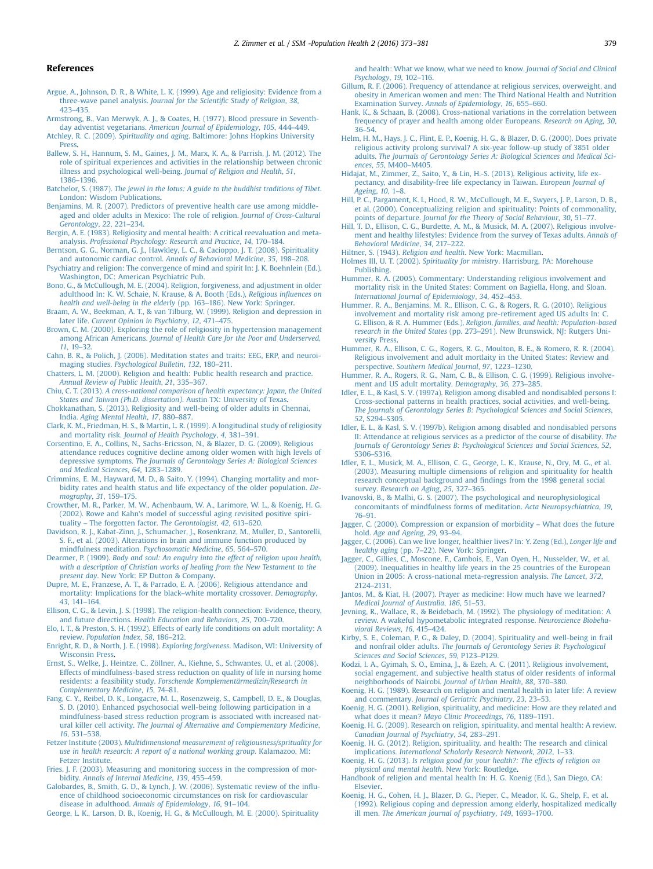#### <span id="page-6-0"></span>References

[Argue, A., Johnson, D. R., & White, L. K. \(1999\). Age and religiosity: Evidence from a](http://refhub.elsevier.com/S2352-8273(16)30017-9/sbref1) [three-wave panel analysis.](http://refhub.elsevier.com/S2352-8273(16)30017-9/sbref1) Journal for the Scientific Study of Religion, 38, [423](http://refhub.elsevier.com/S2352-8273(16)30017-9/sbref1)–[435.](http://refhub.elsevier.com/S2352-8273(16)30017-9/sbref1)

[Armstrong, B., Van Merwyk, A. J., & Coates, H. \(1977\). Blood pressure in Seventh](http://refhub.elsevier.com/S2352-8273(16)30017-9/sbref2)day adventist vegetarians. [American Journal of Epidemiology](http://refhub.elsevier.com/S2352-8273(16)30017-9/sbref2), 105, 444–449.

Atchley, R. C. (2009). Spirituality and aging[. Baltimore: Johns Hopkins University](http://refhub.elsevier.com/S2352-8273(16)30017-9/sbref3) [Press.](http://refhub.elsevier.com/S2352-8273(16)30017-9/sbref3)

- [Ballew, S. H., Hannum, S. M., Gaines, J. M., Marx, K. A., & Parrish, J. M. \(2012\). The](http://refhub.elsevier.com/S2352-8273(16)30017-9/sbref4) [role of spiritual experiences and activities in the relationship between chronic](http://refhub.elsevier.com/S2352-8273(16)30017-9/sbref4) [illness and psychological well-being.](http://refhub.elsevier.com/S2352-8273(16)30017-9/sbref4) Journal of Religion and Health, 51, [1386](http://refhub.elsevier.com/S2352-8273(16)30017-9/sbref4)–[1396.](http://refhub.elsevier.com/S2352-8273(16)30017-9/sbref4)
- Batchelor, S. (1987). [The jewel in the lotus: A guide to the buddhist traditions of Tibet](http://refhub.elsevier.com/S2352-8273(16)30017-9/sbref5). [London: Wisdom Publications.](http://refhub.elsevier.com/S2352-8273(16)30017-9/sbref5)
- [Benjamins, M. R. \(2007\). Predictors of preventive health care use among middle](http://refhub.elsevier.com/S2352-8273(16)30017-9/sbref6)[aged and older adults in Mexico: The role of religion.](http://refhub.elsevier.com/S2352-8273(16)30017-9/sbref6) Journal of Cross-Cultural [Gerontology](http://refhub.elsevier.com/S2352-8273(16)30017-9/sbref6), 22, 221–234.
- [Bergin, A. E. \(1983\). Religiosity and mental health: A critical reevaluation and meta](http://refhub.elsevier.com/S2352-8273(16)30017-9/sbref7)analysis. [Professional Psychology: Research and Practice](http://refhub.elsevier.com/S2352-8273(16)30017-9/sbref7), 14, 170–184.
- [Berntson, G. G., Norman, G. J., Hawkley, L. C., & Cacioppo, J. T. \(2008\). Spirituality](http://refhub.elsevier.com/S2352-8273(16)30017-9/sbref8) [and autonomic cardiac control.](http://refhub.elsevier.com/S2352-8273(16)30017-9/sbref8) Annals of Behavioral Medicine, 35, 198–208.
- [Psychiatry and religion: The convergence of mind and spirit In: J. K. Boehnlein \(Ed.\),](http://refhub.elsevier.com/S2352-8273(16)30017-9/sbref9) [Washington, DC: American Psychiatric Pub.](http://refhub.elsevier.com/S2352-8273(16)30017-9/sbref9)
- [Bono, G., & McCullough, M. E. \(2004\). Religion, forgiveness, and adjustment in older](http://refhub.elsevier.com/S2352-8273(16)30017-9/sbref10) [adulthood In: K. W. Schaie, N. Krause, & A. Booth \(Eds.\),](http://refhub.elsevier.com/S2352-8273(16)30017-9/sbref10) Religious influences on [health and well-being in the elderly](http://refhub.elsevier.com/S2352-8273(16)30017-9/sbref10) (pp. 163–186). New York: Springer.
- [Braam, A. W., Beekman, A. T., & van Tilburg, W. \(1999\). Religion and depression in](http://refhub.elsevier.com/S2352-8273(16)30017-9/sbref11) later life. [Current Opinion in Psychiatry](http://refhub.elsevier.com/S2352-8273(16)30017-9/sbref11), 12, 471–475.
- [Brown, C. M. \(2000\). Exploring the role of religiosity in hypertension management](http://refhub.elsevier.com/S2352-8273(16)30017-9/sbref12) among African Americans. [Journal of Health Care for the Poor and Underserved](http://refhub.elsevier.com/S2352-8273(16)30017-9/sbref12), 11[, 19](http://refhub.elsevier.com/S2352-8273(16)30017-9/sbref12)–32.
- [Cahn, B. R., & Polich, J. \(2006\). Meditation states and traits: EEG, ERP, and neuroi](http://refhub.elsevier.com/S2352-8273(16)30017-9/sbref13)maging studies. [Psychological Bulletin](http://refhub.elsevier.com/S2352-8273(16)30017-9/sbref13), 132, 180–211.
- [Chatters, L. M. \(2000\). Religion and health: Public health research and practice.](http://refhub.elsevier.com/S2352-8273(16)30017-9/sbref14) [Annual Review of Public Health](http://refhub.elsevier.com/S2352-8273(16)30017-9/sbref14), 21, 335–367.
- Chiu, C. T. (2013). [A cross-national comparison of health expectancy: Japan, the United](http://refhub.elsevier.com/S2352-8273(16)30017-9/sbref15) [States and Taiwan \(Ph.D. dissertation\)](http://refhub.elsevier.com/S2352-8273(16)30017-9/sbref15). Austin TX: University of Texas.
- [Chokkanathan, S. \(2013\). Religiosity and well-being of older adults in Chennai,](http://refhub.elsevier.com/S2352-8273(16)30017-9/sbref16) India. [Aging Mental Health](http://refhub.elsevier.com/S2352-8273(16)30017-9/sbref16), 17, 880–887.
- [Clark, K. M., Friedman, H. S., & Martin, L. R. \(1999\). A longitudinal study of religiosity](http://refhub.elsevier.com/S2352-8273(16)30017-9/sbref17) and mortality risk. [Journal of Health Psychology](http://refhub.elsevier.com/S2352-8273(16)30017-9/sbref17), 4, 381–391.
- [Corsentino, E. A., Collins, N., Sachs-Ericsson, N., & Blazer, D. G. \(2009\). Religious](http://refhub.elsevier.com/S2352-8273(16)30017-9/sbref18) [attendance reduces cognitive decline among older women with high levels of](http://refhub.elsevier.com/S2352-8273(16)30017-9/sbref18) depressive symptoms. [The Journals of Gerontology Series A: Biological Sciences](http://refhub.elsevier.com/S2352-8273(16)30017-9/sbref18) [and Medical Sciences](http://refhub.elsevier.com/S2352-8273(16)30017-9/sbref18), 64, 1283–1289.
- [Crimmins, E. M., Hayward, M. D., & Saito, Y. \(1994\). Changing mortality and mor](http://refhub.elsevier.com/S2352-8273(16)30017-9/sbref19)[bidity rates and health status and life expectancy of the older population.](http://refhub.elsevier.com/S2352-8273(16)30017-9/sbref19) De[mography](http://refhub.elsevier.com/S2352-8273(16)30017-9/sbref19), 31, 159–175.
- [Crowther, M. R., Parker, M. W., Achenbaum, W. A., Larimore, W. L., & Koenig, H. G.](http://refhub.elsevier.com/S2352-8273(16)30017-9/sbref20) (2002). Rowe and Kahn'[s model of successful aging revisited positive spiri](http://refhub.elsevier.com/S2352-8273(16)30017-9/sbref20)tuality – [The forgotten factor.](http://refhub.elsevier.com/S2352-8273(16)30017-9/sbref20) The Gerontologist, 42, 613–620.
- [Davidson, R. J., Kabat-Zinn, J., Schumacher, J., Rosenkranz, M., Muller, D., Santorelli,](http://refhub.elsevier.com/S2352-8273(16)30017-9/sbref21) [S. F., et al. \(2003\). Alterations in brain and immune function produced by](http://refhub.elsevier.com/S2352-8273(16)30017-9/sbref21) [mindfulness meditation.](http://refhub.elsevier.com/S2352-8273(16)30017-9/sbref21) Psychosomatic Medicine, 65, 564–570.
- Dearmer, P. (1909). [Body and soul: An enquiry into the effect of religion upon health,](http://refhub.elsevier.com/S2352-8273(16)30017-9/sbref22) [with a description of Christian works of healing from the New Testament to the](http://refhub.elsevier.com/S2352-8273(16)30017-9/sbref22) present day[. New York: EP Dutton & Company.](http://refhub.elsevier.com/S2352-8273(16)30017-9/sbref22)
- [Dupre, M. E., Franzese, A. T., & Parrado, E. A. \(2006\). Religious attendance and](http://refhub.elsevier.com/S2352-8273(16)30017-9/sbref23) [mortality: Implications for the black](http://refhub.elsevier.com/S2352-8273(16)30017-9/sbref23)–white mortality crossover. Demography, 43[, 141](http://refhub.elsevier.com/S2352-8273(16)30017-9/sbref23)–164.
- [Ellison, C. G., & Levin, J. S. \(1998\). The religion-health connection: Evidence, theory,](http://refhub.elsevier.com/S2352-8273(16)30017-9/sbref24) and future directions. [Health Education and Behaviors](http://refhub.elsevier.com/S2352-8273(16)30017-9/sbref24), 25, 700–720.
- [Elo, I. T., & Preston, S. H. \(1992\). Effects of early life conditions on adult mortality: A](http://refhub.elsevier.com/S2352-8273(16)30017-9/sbref25) review. [Population Index](http://refhub.elsevier.com/S2352-8273(16)30017-9/sbref25), 58, 186–212.
- [Enright, R. D., & North, J. E. \(1998\).](http://refhub.elsevier.com/S2352-8273(16)30017-9/sbref26) Exploring forgiveness. Madison, WI: University of [Wisconsin Press.](http://refhub.elsevier.com/S2352-8273(16)30017-9/sbref26)
- [Ernst, S., Welke, J., Heintze, C., Zöllner, A., Kiehne, S., Schwantes, U., et al. \(2008\).](http://refhub.elsevier.com/S2352-8273(16)30017-9/sbref27) [Effects of mindfulness-based stress reduction on quality of life in nursing home](http://refhub.elsevier.com/S2352-8273(16)30017-9/sbref27) residents: a feasibility study. [Forschende Komplementärmedizin/Research in](http://refhub.elsevier.com/S2352-8273(16)30017-9/sbref27) [Complementary Medicine](http://refhub.elsevier.com/S2352-8273(16)30017-9/sbref27), 15, 74–81.
- [Fang, C. Y., Reibel, D. K., Longacre, M. L., Rosenzweig, S., Campbell, D. E., & Douglas,](http://refhub.elsevier.com/S2352-8273(16)30017-9/sbref28) [S. D. \(2010\). Enhanced psychosocial well-being following participation in a](http://refhub.elsevier.com/S2352-8273(16)30017-9/sbref28) [mindfulness-based stress reduction program is associated with increased nat](http://refhub.elsevier.com/S2352-8273(16)30017-9/sbref28)ural killer cell activity. [The Journal of Alternative and Complementary Medicine](http://refhub.elsevier.com/S2352-8273(16)30017-9/sbref28), 16[, 531](http://refhub.elsevier.com/S2352-8273(16)30017-9/sbref28)–538.
- Fetzer Institute (2003). [Multidimensional measurement of religiousness/sprituality for](http://refhub.elsevier.com/S2352-8273(16)30017-9/sbref29) [use in health research: A report of a national working group](http://refhub.elsevier.com/S2352-8273(16)30017-9/sbref29). Kalamazoo, MI: [Fetzer Institute.](http://refhub.elsevier.com/S2352-8273(16)30017-9/sbref29)
- [Fries, J. F. \(2003\). Measuring and monitoring success in the compression of mor](http://refhub.elsevier.com/S2352-8273(16)30017-9/sbref30)bidity. [Annals of Internal Medicine](http://refhub.elsevier.com/S2352-8273(16)30017-9/sbref30), 139, 455–459.
- [Galobardes, B., Smith, G. D., & Lynch, J. W. \(2006\). Systematic review of the in](http://refhub.elsevier.com/S2352-8273(16)30017-9/sbref31)flu[ence of childhood socioeconomic circumstances on risk for cardiovascular](http://refhub.elsevier.com/S2352-8273(16)30017-9/sbref31) disease in adulthood. [Annals of Epidemiology](http://refhub.elsevier.com/S2352-8273(16)30017-9/sbref31), 16, 91–104.

[George, L. K., Larson, D. B., Koenig, H. G., & McCullough, M. E. \(2000\). Spirituality](http://refhub.elsevier.com/S2352-8273(16)30017-9/sbref32)

[and health: What we know, what we need to know.](http://refhub.elsevier.com/S2352-8273(16)30017-9/sbref32) Journal of Social and Clinical [Psychology](http://refhub.elsevier.com/S2352-8273(16)30017-9/sbref32), 19, 102–116.

- [Gillum, R. F. \(2006\). Frequency of attendance at religious services, overweight, and](http://refhub.elsevier.com/S2352-8273(16)30017-9/sbref33) [obesity in American women and men: The Third National Health and Nutrition](http://refhub.elsevier.com/S2352-8273(16)30017-9/sbref33) Examination Survey. [Annals of Epidemiology](http://refhub.elsevier.com/S2352-8273(16)30017-9/sbref33), 16, 655–660.
- [Hank, K., & Schaan, B. \(2008\). Cross-national variations in the correlation between](http://refhub.elsevier.com/S2352-8273(16)30017-9/sbref34) [frequency of prayer and health among older Europeans.](http://refhub.elsevier.com/S2352-8273(16)30017-9/sbref34) Research on Aging, 30, [36](http://refhub.elsevier.com/S2352-8273(16)30017-9/sbref34)–[54.](http://refhub.elsevier.com/S2352-8273(16)30017-9/sbref34)
- [Helm, H. M., Hays, J. C., Flint, E. P., Koenig, H. G., & Blazer, D. G. \(2000\). Does private](http://refhub.elsevier.com/S2352-8273(16)30017-9/sbref35) [religious activity prolong survival? A six-year follow-up study of 3851 older](http://refhub.elsevier.com/S2352-8273(16)30017-9/sbref35) adults. [The Journals of Gerontology Series A: Biological Sciences and Medical Sci](http://refhub.elsevier.com/S2352-8273(16)30017-9/sbref35)ences, 55[, M400](http://refhub.elsevier.com/S2352-8273(16)30017-9/sbref35)–M405.
- [Hidajat, M., Zimmer, Z., Saito, Y., & Lin, H.-S. \(2013\). Religious activity, life ex](http://refhub.elsevier.com/S2352-8273(16)30017-9/sbref36)[pectancy, and disability-free life expectancy in Taiwan.](http://refhub.elsevier.com/S2352-8273(16)30017-9/sbref36) European Journal of [Ageing](http://refhub.elsevier.com/S2352-8273(16)30017-9/sbref36), 10, 1–8.
- [Hill, P. C., Pargament, K. I., Hood, R. W., McCullough, M. E., Swyers, J. P., Larson, D. B.,](http://refhub.elsevier.com/S2352-8273(16)30017-9/sbref37) [et al. \(2000\). Conceptualizing religion and spirituality: Points of commonality,](http://refhub.elsevier.com/S2352-8273(16)30017-9/sbref37) points of departure. [Journal for the Theory of Social Behaviour](http://refhub.elsevier.com/S2352-8273(16)30017-9/sbref37), 30, 51–77.
- [Hill, T. D., Ellison, C. G., Burdette, A. M., & Musick, M. A. \(2007\). Religious involve](http://refhub.elsevier.com/S2352-8273(16)30017-9/sbref38)[ment and healthy lifestyles: Evidence from the survey of Texas adults.](http://refhub.elsevier.com/S2352-8273(16)30017-9/sbref38) Annals of [Behavioral Medicine](http://refhub.elsevier.com/S2352-8273(16)30017-9/sbref38), 34, 217–222.
- Hiltner, S. (1943). Religion and health[. New York: Macmillan.](http://refhub.elsevier.com/S2352-8273(16)30017-9/sbref39)
- Holmes III, U. T. (2002). Spirituality for ministry[. Harrisburg, PA: Morehouse](http://refhub.elsevier.com/S2352-8273(16)30017-9/sbref40) [Publishing.](http://refhub.elsevier.com/S2352-8273(16)30017-9/sbref40)
- [Hummer, R. A. \(2005\). Commentary: Understanding religious involvement and](http://refhub.elsevier.com/S2352-8273(16)30017-9/sbref41) [mortality risk in the United States: Comment on Bagiella, Hong, and Sloan.](http://refhub.elsevier.com/S2352-8273(16)30017-9/sbref41) [International Journal of Epidemiology](http://refhub.elsevier.com/S2352-8273(16)30017-9/sbref41), 34, 452–453.
- [Hummer, R. A., Benjamins, M. R., Ellison, C. G., & Rogers, R. G. \(2010\). Religious](http://refhub.elsevier.com/S2352-8273(16)30017-9/sbref42) [involvement and mortality risk among pre-retirement aged US adults In: C.](http://refhub.elsevier.com/S2352-8273(16)30017-9/sbref42) G. Ellison, & R. A. Hummer (Eds.), [Religion, families, and health: Population-based](http://refhub.elsevier.com/S2352-8273(16)30017-9/sbref42) research in the United States (pp. 273–[291\). New Brunswick, NJ: Rutgers Uni](http://refhub.elsevier.com/S2352-8273(16)30017-9/sbref42)[versity Press.](http://refhub.elsevier.com/S2352-8273(16)30017-9/sbref42)
- [Hummer, R. A., Ellison, C. G., Rogers, R. G., Moulton, B. E., & Romero, R. R. \(2004\).](http://refhub.elsevier.com/S2352-8273(16)30017-9/sbref43) [Religious involvement and adult mortlaity in the United States: Review and](http://refhub.elsevier.com/S2352-8273(16)30017-9/sbref43) perspective. [Southern Medical Journal](http://refhub.elsevier.com/S2352-8273(16)30017-9/sbref43), 97, 1223–1230.
- [Hummer, R. A., Rogers, R. G., Nam, C. B., & Ellison, C. G. \(1999\). Religious involve](http://refhub.elsevier.com/S2352-8273(16)30017-9/sbref44)[ment and US adult mortality.](http://refhub.elsevier.com/S2352-8273(16)30017-9/sbref44) Demography, 36, 273–285.
- [Idler, E. L., & Kasl, S. V. \(1997a\). Religion among disabled and nondisabled persons I:](http://refhub.elsevier.com/S2352-8273(16)30017-9/sbref45) [Cross-sectional patterns in health practices, social activities, and well-being.](http://refhub.elsevier.com/S2352-8273(16)30017-9/sbref45) [The Journals of Gerontology Series B: Psychological Sciences and Social Sciences](http://refhub.elsevier.com/S2352-8273(16)30017-9/sbref45), 52[, S294](http://refhub.elsevier.com/S2352-8273(16)30017-9/sbref45)–S305.
- [Idler, E. L., & Kasl, S. V. \(1997b\). Religion among disabled and nondisabled persons](http://refhub.elsevier.com/S2352-8273(16)30017-9/sbref46) [II: Attendance at religious services as a predictor of the course of disability.](http://refhub.elsevier.com/S2352-8273(16)30017-9/sbref46) The [Journals of Gerontology Series B: Psychological Sciences and Social Sciences](http://refhub.elsevier.com/S2352-8273(16)30017-9/sbref46), 52, [S306](http://refhub.elsevier.com/S2352-8273(16)30017-9/sbref46)–[S316.](http://refhub.elsevier.com/S2352-8273(16)30017-9/sbref46)
- [Idler, E. L., Musick, M. A., Ellison, C. G., George, L. K., Krause, N., Ory, M. G., et al.](http://refhub.elsevier.com/S2352-8273(16)30017-9/sbref47) [\(2003\). Measuring multiple dimensions of religion and spirituality for health](http://refhub.elsevier.com/S2352-8273(16)30017-9/sbref47) [research conceptual background and](http://refhub.elsevier.com/S2352-8273(16)30017-9/sbref47) findings from the 1998 general social survey. [Research on Aging](http://refhub.elsevier.com/S2352-8273(16)30017-9/sbref47), 25, 327–365.
- [Ivanovski, B., & Malhi, G. S. \(2007\). The psychological and neurophysiological](http://refhub.elsevier.com/S2352-8273(16)30017-9/sbref48) [concomitants of mindfulness forms of meditation.](http://refhub.elsevier.com/S2352-8273(16)30017-9/sbref48) Acta Neuropsychiatrica, 19, [76](http://refhub.elsevier.com/S2352-8273(16)30017-9/sbref48)–[91.](http://refhub.elsevier.com/S2352-8273(16)30017-9/sbref48)
- [Jagger, C. \(2000\). Compression or expansion of morbidity](http://refhub.elsevier.com/S2352-8273(16)30017-9/sbref49) What does the future hold. [Age and Ageing](http://refhub.elsevier.com/S2352-8273(16)30017-9/sbref49), 29, 93–94.
- [Jagger, C. \(2006\). Can we live longer, healthier lives? In: Y. Zeng \(Ed.\),](http://refhub.elsevier.com/S2352-8273(16)30017-9/sbref50) Longer life and healthy aging (pp. 7–[22\). New York: Springer.](http://refhub.elsevier.com/S2352-8273(16)30017-9/sbref50)
- [Jagger, C., Gillies, C., Moscone, F., Cambois, E., Van Oyen, H., Nusselder, W., et al.](http://refhub.elsevier.com/S2352-8273(16)30017-9/sbref51) [\(2009\). Inequalities in healthy life years in the 25 countries of the European](http://refhub.elsevier.com/S2352-8273(16)30017-9/sbref51) [Union in 2005: A cross-national meta-regression analysis.](http://refhub.elsevier.com/S2352-8273(16)30017-9/sbref51) The Lancet, 372, [2124](http://refhub.elsevier.com/S2352-8273(16)30017-9/sbref51)–[2131.](http://refhub.elsevier.com/S2352-8273(16)30017-9/sbref51)
- [Jantos, M., & Kiat, H. \(2007\). Prayer as medicine: How much have we learned?](http://refhub.elsevier.com/S2352-8273(16)30017-9/sbref52) [Medical Journal of Australia](http://refhub.elsevier.com/S2352-8273(16)30017-9/sbref52), 186, 51–53.
- [Jevning, R., Wallace, R., & Beidebach, M. \(1992\). The physiology of meditation: A](http://refhub.elsevier.com/S2352-8273(16)30017-9/sbref53) [review. A wakeful hypometabolic integrated response.](http://refhub.elsevier.com/S2352-8273(16)30017-9/sbref53) Neuroscience Biobeha[vioral Reviews](http://refhub.elsevier.com/S2352-8273(16)30017-9/sbref53), 16, 415–424.
- [Kirby, S. E., Coleman, P. G., & Daley, D. \(2004\). Spirituality and well-being in frail](http://refhub.elsevier.com/S2352-8273(16)30017-9/sbref54) and nonfrail older adults. [The Journals of Gerontology Series B: Psychological](http://refhub.elsevier.com/S2352-8273(16)30017-9/sbref54) [Sciences and Social Sciences](http://refhub.elsevier.com/S2352-8273(16)30017-9/sbref54), 59, P123–P129.
- [Kodzi, I. A., Gyimah, S. O., Emina, J., & Ezeh, A. C. \(2011\). Religious involvement,](http://refhub.elsevier.com/S2352-8273(16)30017-9/sbref55) [social engagement, and subjective health status of older residents of informal](http://refhub.elsevier.com/S2352-8273(16)30017-9/sbref55) [neighborhoods of Nairobi.](http://refhub.elsevier.com/S2352-8273(16)30017-9/sbref55) Journal of Urban Health, 88, 370–380.
- [Koenig, H. G. \(1989\). Research on religion and mental health in later life: A review](http://refhub.elsevier.com/S2352-8273(16)30017-9/sbref56) and commentary. [Journal of Geriatric Psychiatry](http://refhub.elsevier.com/S2352-8273(16)30017-9/sbref56), 23, 23–53.
- [Koenig, H. G. \(2001\). Religion, spirituality, and medicine: How are they related and](http://refhub.elsevier.com/S2352-8273(16)30017-9/sbref57) what does it mean? [Mayo Clinic Proceedings](http://refhub.elsevier.com/S2352-8273(16)30017-9/sbref57), 76, 1189–1191.
- [Koenig, H. G. \(2009\). Research on religion, spirituality, and mental health: A review.](http://refhub.elsevier.com/S2352-8273(16)30017-9/sbref58) [Canadian Journal of Psychiatry](http://refhub.elsevier.com/S2352-8273(16)30017-9/sbref58), 54, 283–291.
- [Koenig, H. G. \(2012\). Religion, spirituality, and health: The research and clinical](http://refhub.elsevier.com/S2352-8273(16)30017-9/sbref59) implications. [International Scholarly Research Network](http://refhub.elsevier.com/S2352-8273(16)30017-9/sbref59), 2012, 1–33.
- Koenig, H. G. (2013). [Is religion good for your health?: The effects of religion on](http://refhub.elsevier.com/S2352-8273(16)30017-9/sbref60) [physical and mental health](http://refhub.elsevier.com/S2352-8273(16)30017-9/sbref60). New York: Routledge.
- [Handbook of religion and mental health In: H. G. Koenig \(Ed.\), San Diego, CA:](http://refhub.elsevier.com/S2352-8273(16)30017-9/sbref61) [Elsevier.](http://refhub.elsevier.com/S2352-8273(16)30017-9/sbref61)
- [Koenig, H. G., Cohen, H. J., Blazer, D. G., Pieper, C., Meador, K. G., Shelp, F., et al.](http://refhub.elsevier.com/S2352-8273(16)30017-9/sbref62) [\(1992\). Religious coping and depression among elderly, hospitalized medically](http://refhub.elsevier.com/S2352-8273(16)30017-9/sbref62) ill men. [The American journal of psychiatry](http://refhub.elsevier.com/S2352-8273(16)30017-9/sbref62), 149, 1693–1700.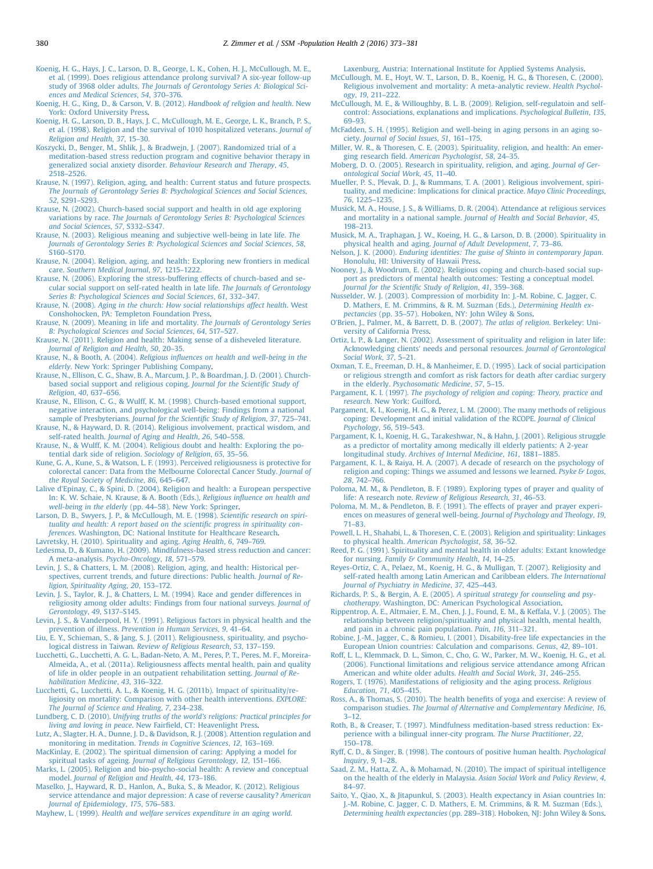- <span id="page-7-0"></span>[Koenig, H. G., Hays, J. C., Larson, D. B., George, L. K., Cohen, H. J., McCullough, M. E.,](http://refhub.elsevier.com/S2352-8273(16)30017-9/sbref63) [et al. \(1999\). Does religious attendance prolong survival? A six-year follow-up](http://refhub.elsevier.com/S2352-8273(16)30017-9/sbref63) study of 3968 older adults. [The Journals of Gerontology Series A: Biological Sci](http://refhub.elsevier.com/S2352-8273(16)30017-9/sbref63)[ences and Medical Sciences](http://refhub.elsevier.com/S2352-8273(16)30017-9/sbref63), 54, 370–376.
- [Koenig, H. G., King, D., & Carson, V. B. \(2012\).](http://refhub.elsevier.com/S2352-8273(16)30017-9/sbref64) Handbook of religion and health. New [York: Oxford University Press.](http://refhub.elsevier.com/S2352-8273(16)30017-9/sbref64)
- [Koenig, H. G., Larson, D. B., Hays, J. C., McCullough, M. E., George, L. K., Branch, P. S.,](http://refhub.elsevier.com/S2352-8273(16)30017-9/sbref65) [et al. \(1998\). Religion and the survival of 1010 hospitalized veterans.](http://refhub.elsevier.com/S2352-8273(16)30017-9/sbref65) Journal of [Religion and Health](http://refhub.elsevier.com/S2352-8273(16)30017-9/sbref65), 37, 15–30.
- [Koszycki, D., Benger, M., Shlik, J., & Bradwejn, J. \(2007\). Randomized trial of a](http://refhub.elsevier.com/S2352-8273(16)30017-9/sbref66) [meditation-based stress reduction program and cognitive behavior therapy in](http://refhub.elsevier.com/S2352-8273(16)30017-9/sbref66) [generalized social anxiety disorder.](http://refhub.elsevier.com/S2352-8273(16)30017-9/sbref66) Behaviour Research and Therapy, 45, [2518](http://refhub.elsevier.com/S2352-8273(16)30017-9/sbref66)–[2526.](http://refhub.elsevier.com/S2352-8273(16)30017-9/sbref66)
- [Krause, N. \(1997\). Religion, aging, and health: Current status and future prospects.](http://refhub.elsevier.com/S2352-8273(16)30017-9/sbref67) [The Journals of Gerontology Series B: Psychological Sciences and Social Sciences](http://refhub.elsevier.com/S2352-8273(16)30017-9/sbref67), 52[, S291](http://refhub.elsevier.com/S2352-8273(16)30017-9/sbref67)–S293.
- [Krause, N. \(2002\). Church-based social support and health in old age exploring](http://refhub.elsevier.com/S2352-8273(16)30017-9/sbref68) variations by race. [The Journals of Gerontology Series B: Psychological Sciences](http://refhub.elsevier.com/S2352-8273(16)30017-9/sbref68) [and Social Sciences](http://refhub.elsevier.com/S2352-8273(16)30017-9/sbref68), 57, S332–S347.
- [Krause, N. \(2003\). Religious meaning and subjective well-being in late life.](http://refhub.elsevier.com/S2352-8273(16)30017-9/sbref69) The [Journals of Gerontology Series B: Psychological Sciences and Social Sciences](http://refhub.elsevier.com/S2352-8273(16)30017-9/sbref69), 58, [S160](http://refhub.elsevier.com/S2352-8273(16)30017-9/sbref69)–[S170.](http://refhub.elsevier.com/S2352-8273(16)30017-9/sbref69)
- [Krause, N. \(2004\). Religion, aging, and health: Exploring new frontiers in medical](http://refhub.elsevier.com/S2352-8273(16)30017-9/sbref70) care. [Southern Medical Journal](http://refhub.elsevier.com/S2352-8273(16)30017-9/sbref70), 97, 1215–1222.
- [Krause, N. \(2006\). Exploring the stress-buffering effects of church-based and se](http://refhub.elsevier.com/S2352-8273(16)30017-9/sbref71)[cular social support on self-rated health in late life.](http://refhub.elsevier.com/S2352-8273(16)30017-9/sbref71) The Journals of Gerontology [Series B: Psychological Sciences and Social Sciences](http://refhub.elsevier.com/S2352-8273(16)30017-9/sbref71), 61, 332–347.
- Krause, N. (2008). [Aging in the church: How social relationships affect health](http://refhub.elsevier.com/S2352-8273(16)30017-9/sbref72). West [Conshohocken, PA: Templeton Foundation Press.](http://refhub.elsevier.com/S2352-8273(16)30017-9/sbref72)
- [Krause, N. \(2009\). Meaning in life and mortality.](http://refhub.elsevier.com/S2352-8273(16)30017-9/sbref73) The Journals of Gerontology Series [B: Psychological Sciences and Social Sciences](http://refhub.elsevier.com/S2352-8273(16)30017-9/sbref73), 64, 517–527.
- [Krause, N. \(2011\). Religion and health: Making sense of a disheveled literature.](http://refhub.elsevier.com/S2352-8273(16)30017-9/sbref74) [Journal of Religion and Health](http://refhub.elsevier.com/S2352-8273(16)30017-9/sbref74), 50, 20–35.
- Krause, N., & Booth, A. (2004). Religious infl[uences on health and well-being in the](http://refhub.elsevier.com/S2352-8273(16)30017-9/sbref75) elderly[. New York: Springer Publishing Company.](http://refhub.elsevier.com/S2352-8273(16)30017-9/sbref75)
- [Krause, N., Ellison, C. G., Shaw, B. A., Marcum, J. P., & Boardman, J. D. \(2001\). Church](http://refhub.elsevier.com/S2352-8273(16)30017-9/sbref76)[based social support and religious coping.](http://refhub.elsevier.com/S2352-8273(16)30017-9/sbref76) Journal for the Scientific Study of [Religion](http://refhub.elsevier.com/S2352-8273(16)30017-9/sbref76), 40, 637–656.
- [Krause, N., Ellison, C. G., & Wulff, K. M. \(1998\). Church-based emotional support,](http://refhub.elsevier.com/S2352-8273(16)30017-9/sbref77) [negative interaction, and psychological well-being: Findings from a national](http://refhub.elsevier.com/S2352-8273(16)30017-9/sbref77) [sample of Presbyterians.](http://refhub.elsevier.com/S2352-8273(16)30017-9/sbref77) Journal for the Scientific Study of Religion, 37, 725–741.
- [Krause, N., & Hayward, D. R. \(2014\). Religious involvement, practical wisdom, and](http://refhub.elsevier.com/S2352-8273(16)30017-9/sbref78) self-rated health. [Journal of Aging and Health](http://refhub.elsevier.com/S2352-8273(16)30017-9/sbref78), 26, 540–558.
- [Krause, N., & Wulff, K. M. \(2004\). Religious doubt and health: Exploring the po](http://refhub.elsevier.com/S2352-8273(16)30017-9/sbref79)[tential dark side of religion.](http://refhub.elsevier.com/S2352-8273(16)30017-9/sbref79) Sociology of Religion, 65, 35–56.
- [Kune, G. A., Kune, S., & Watson, L. F. \(1993\). Perceived religiousness is protective for](http://refhub.elsevier.com/S2352-8273(16)30017-9/sbref80) [colorectal cancer: Data from the Melbourne Colorectal Cancer Study.](http://refhub.elsevier.com/S2352-8273(16)30017-9/sbref80) Journal of [the Royal Society of Medicine](http://refhub.elsevier.com/S2352-8273(16)30017-9/sbref80), 86, 645–647.
- Lalive d'[Epinay, C., & Spini, D. \(2004\). Religion and health: a European perspective](http://refhub.elsevier.com/S2352-8273(16)30017-9/sbref81) [In: K. W. Schaie, N. Krause, & A. Booth \(Eds.\),](http://refhub.elsevier.com/S2352-8273(16)30017-9/sbref81) Religious influence on health and well-being in the elderly (pp. 44–[58\). New York: Springer.](http://refhub.elsevier.com/S2352-8273(16)30017-9/sbref81)
- [Larson, D. B., Swyers, J. P., & McCullough, M. E. \(1998\).](http://refhub.elsevier.com/S2352-8273(16)30017-9/sbref82) Scientific research on spiri[tuality and health: A report based on the scienti](http://refhub.elsevier.com/S2352-8273(16)30017-9/sbref82)fic progress in spirituality conferences[. Washington, DC: National Institute for Healthcare Research.](http://refhub.elsevier.com/S2352-8273(16)30017-9/sbref82) [Lavretsky, H. \(2010\). Spirituality and aging.](http://refhub.elsevier.com/S2352-8273(16)30017-9/sbref83) Aging Health, 6, 749–769.
- [Ledesma, D., & Kumano, H. \(2009\). Mindfulness-based stress reduction and cancer:](http://refhub.elsevier.com/S2352-8273(16)30017-9/sbref84) [A meta-analysis.](http://refhub.elsevier.com/S2352-8273(16)30017-9/sbref84) Psycho-Oncology, 18, 571–579.
- [Levin, J. S., & Chatters, L. M. \(2008\). Religion, aging, and health: Historical per](http://refhub.elsevier.com/S2352-8273(16)30017-9/sbref85)[spectives, current trends, and future directions: Public health.](http://refhub.elsevier.com/S2352-8273(16)30017-9/sbref85) Journal of Re[ligion, Spirituality Aging](http://refhub.elsevier.com/S2352-8273(16)30017-9/sbref85), 20, 153–172.
- [Levin, J. S., Taylor, R. J., & Chatters, L. M. \(1994\). Race and gender differences in](http://refhub.elsevier.com/S2352-8273(16)30017-9/sbref86) [religiosity among older adults: Findings from four national surveys.](http://refhub.elsevier.com/S2352-8273(16)30017-9/sbref86) Journal of [Gerontology](http://refhub.elsevier.com/S2352-8273(16)30017-9/sbref86), 49, S137–S145.
- [Levin, J. S., & Vanderpool, H. Y. \(1991\). Religious factors in physical health and the](http://refhub.elsevier.com/S2352-8273(16)30017-9/sbref87) prevention of illness. [Prevention in Human Services](http://refhub.elsevier.com/S2352-8273(16)30017-9/sbref87), 9, 41–64.
- [Liu, E. Y., Schieman, S., & Jang, S. J. \(2011\). Religiousness, spirituality, and psycho-](http://refhub.elsevier.com/S2352-8273(16)30017-9/sbref88)logical distress in Taiwan. [Review of Religious Research](http://refhub.elsevier.com/S2352-8273(16)30017-9/sbref88), 53, 137–159.
- [Lucchetti, G., Lucchetti, A. G. L., Badan-Neto, A. M., Peres, P. T., Peres, M. F., Moreira-](http://refhub.elsevier.com/S2352-8273(16)30017-9/sbref89)[Almeida, A., et al. \(2011a\). Religiousness affects mental health, pain and quality](http://refhub.elsevier.com/S2352-8273(16)30017-9/sbref89) [of life in older people in an outpatient rehabilitation setting.](http://refhub.elsevier.com/S2352-8273(16)30017-9/sbref89) Journal of Re[habilitation Medicine](http://refhub.elsevier.com/S2352-8273(16)30017-9/sbref89), 43, 316–322.
- [Lucchetti, G., Lucchetti, A. L., & Koenig, H. G. \(2011b\). Impact of spirituality/re](http://refhub.elsevier.com/S2352-8273(16)30017-9/sbref90)[ligiosity on mortality: Comparison with other health interventions.](http://refhub.elsevier.com/S2352-8273(16)30017-9/sbref90) EXPLORE: [The Journal of Science and Healing](http://refhub.elsevier.com/S2352-8273(16)30017-9/sbref90), 7, 234–238.
- Lundberg, C. D. (2010). Unifying truths of the world'[s religions: Practical principles for](http://refhub.elsevier.com/S2352-8273(16)30017-9/sbref91) living and loving in peace. New Fairfi[eld, CT: Heavenlight Press.](http://refhub.elsevier.com/S2352-8273(16)30017-9/sbref91)
- [Lutz, A., Slagter, H. A., Dunne, J. D., & Davidson, R. J. \(2008\). Attention regulation and](http://refhub.elsevier.com/S2352-8273(16)30017-9/sbref92) monitoring in meditation. [Trends in Cognitive Sciences](http://refhub.elsevier.com/S2352-8273(16)30017-9/sbref92), 12, 163–169.
- [MacKinlay, E. \(2002\). The spiritual dimension of caring: Applying a model for](http://refhub.elsevier.com/S2352-8273(16)30017-9/sbref93) spiritual tasks of ageing. [Journal of Religious Gerontology](http://refhub.elsevier.com/S2352-8273(16)30017-9/sbref93), 12, 151–166.
- [Marks, L. \(2005\). Religion and bio-psycho-social health: A review and conceptual](http://refhub.elsevier.com/S2352-8273(16)30017-9/sbref94) model. [Journal of Religion and Health](http://refhub.elsevier.com/S2352-8273(16)30017-9/sbref94), 44, 173–186. [Maselko, J., Hayward, R. D., Hanlon, A., Buka, S., & Meador, K. \(2012\). Religious](http://refhub.elsevier.com/S2352-8273(16)30017-9/sbref95)
- [service attendance and major depression: A case of reverse causality?](http://refhub.elsevier.com/S2352-8273(16)30017-9/sbref95) American [Journal of Epidemiology](http://refhub.elsevier.com/S2352-8273(16)30017-9/sbref95), 175, 576–583.
- Mayhew, L. (1999). [Health and welfare services expenditure in an aging world](http://refhub.elsevier.com/S2352-8273(16)30017-9/sbref96).

[Laxenburg, Austria: International Institute for Applied Systems Analysis.](http://refhub.elsevier.com/S2352-8273(16)30017-9/sbref96)

- [McCullough, M. E., Hoyt, W. T., Larson, D. B., Koenig, H. G., & Thoresen, C. \(2000\).](http://refhub.elsevier.com/S2352-8273(16)30017-9/sbref97) [Religious involvement and mortality: A meta-analytic review.](http://refhub.elsevier.com/S2352-8273(16)30017-9/sbref97) Health Psychology, 19[, 211](http://refhub.elsevier.com/S2352-8273(16)30017-9/sbref97)–222.
- [McCullough, M. E., & Willoughby, B. L. B. \(2009\). Religion, self-regulatoin and self](http://refhub.elsevier.com/S2352-8273(16)30017-9/sbref98)[control: Associations, explanations and implications.](http://refhub.elsevier.com/S2352-8273(16)30017-9/sbref98) Psychological Bulletin, 135, [69](http://refhub.elsevier.com/S2352-8273(16)30017-9/sbref98)–[93.](http://refhub.elsevier.com/S2352-8273(16)30017-9/sbref98)
- [McFadden, S. H. \(1995\). Religion and well-being in aging persons in an aging so](http://refhub.elsevier.com/S2352-8273(16)30017-9/sbref99)ciety. [Journal of Social Issues](http://refhub.elsevier.com/S2352-8273(16)30017-9/sbref99), 51, 161–175.
- [Miller, W. R., & Thoresen, C. E. \(2003\). Spirituality, religion, and health: An emer](http://refhub.elsevier.com/S2352-8273(16)30017-9/sbref100)ging research field. [American Psychologist](http://refhub.elsevier.com/S2352-8273(16)30017-9/sbref100), 58, 24–35.
- [Moberg, D. O. \(2005\). Research in spirituality, religion, and aging.](http://refhub.elsevier.com/S2352-8273(16)30017-9/sbref101) Journal of Ger[ontological Social Work](http://refhub.elsevier.com/S2352-8273(16)30017-9/sbref101), 45, 11–40.
- [Mueller, P. S., Plevak, D. J., & Rummans, T. A. \(2001\). Religious involvement, spiri](http://refhub.elsevier.com/S2352-8273(16)30017-9/sbref102)[tuality, and medicine: Implications for clinical practice.](http://refhub.elsevier.com/S2352-8273(16)30017-9/sbref102) Mayo Clinic Proceedings, 76[, 1225](http://refhub.elsevier.com/S2352-8273(16)30017-9/sbref102)–1235.
- [Musick, M. A., House, J. S., & Williams, D. R. \(2004\). Attendance at religious services](http://refhub.elsevier.com/S2352-8273(16)30017-9/sbref103) and mortality in a national sample. [Journal of Health and Social Behavior](http://refhub.elsevier.com/S2352-8273(16)30017-9/sbref103), 45, [198](http://refhub.elsevier.com/S2352-8273(16)30017-9/sbref103)–[213.](http://refhub.elsevier.com/S2352-8273(16)30017-9/sbref103)
- [Musick, M. A., Traphagan, J. W., Koeing, H. G., & Larson, D. B. \(2000\). Spirituality in](http://refhub.elsevier.com/S2352-8273(16)30017-9/sbref104) physical health and aging. [Journal of Adult Development](http://refhub.elsevier.com/S2352-8273(16)30017-9/sbref104), 7, 73–86.
- Nelson, J. K. (2000). [Enduring identities: The guise of Shinto in contemporary Japan](http://refhub.elsevier.com/S2352-8273(16)30017-9/sbref105). [Honolulu, HI: University of Hawaii Press.](http://refhub.elsevier.com/S2352-8273(16)30017-9/sbref105)
- [Nooney, J., & Woodrum, E. \(2002\). Religious coping and church-based social sup](http://refhub.elsevier.com/S2352-8273(16)30017-9/sbref106)[port as predictors of mental health outcomes: Testing a conceptual model.](http://refhub.elsevier.com/S2352-8273(16)30017-9/sbref106) [Journal for the Scienti](http://refhub.elsevier.com/S2352-8273(16)30017-9/sbref106)fic Study of Religion, 41, 359–368.
- [Nusselder, W. J. \(2003\). Compression of morbidity In: J.-M. Robine, C. Jagger, C.](http://refhub.elsevier.com/S2352-8273(16)30017-9/sbref107) [D. Mathers, E. M. Crimmins, & R. M. Suzman \(Eds.\),](http://refhub.elsevier.com/S2352-8273(16)30017-9/sbref107) Determining Health expectancies (pp. 35–[57\). Hoboken, NY: John Wiley & Sons.](http://refhub.elsevier.com/S2352-8273(16)30017-9/sbref107)
- O'[Brien, J., Palmer, M., & Barrett, D. B. \(2007\).](http://refhub.elsevier.com/S2352-8273(16)30017-9/sbref108) The atlas of religion. Berkeley: Uni[versity of California Press.](http://refhub.elsevier.com/S2352-8273(16)30017-9/sbref108)
- [Ortiz, L. P., & Langer, N. \(2002\). Assessment of spirituality and religion in later life:](http://refhub.elsevier.com/S2352-8273(16)30017-9/sbref109) Acknowledging clients' [needs and personal resources.](http://refhub.elsevier.com/S2352-8273(16)30017-9/sbref109) Journal of Gerontological [Social Work](http://refhub.elsevier.com/S2352-8273(16)30017-9/sbref109), 37, 5–21.
- [Oxman, T. E., Freeman, D. H., & Manheimer, E. D. \(1995\). Lack of social participation](http://refhub.elsevier.com/S2352-8273(16)30017-9/sbref110) [or religious strength and comfort as risk factors for death after cardiac surgery](http://refhub.elsevier.com/S2352-8273(16)30017-9/sbref110) in the elderly. [Psychosomatic Medicine](http://refhub.elsevier.com/S2352-8273(16)30017-9/sbref110), 57, 5–15.
- Pargament, K. I. (1997). [The psychology of religion and coping: Theory, practice and](http://refhub.elsevier.com/S2352-8273(16)30017-9/sbref111) research[. New York: Guilford.](http://refhub.elsevier.com/S2352-8273(16)30017-9/sbref111)
- [Pargament, K. I., Koenig, H. G., & Perez, L. M. \(2000\). The many methods of religious](http://refhub.elsevier.com/S2352-8273(16)30017-9/sbref112) [coping: Development and initial validation of the RCOPE.](http://refhub.elsevier.com/S2352-8273(16)30017-9/sbref112) Journal of Clinical [Psychology](http://refhub.elsevier.com/S2352-8273(16)30017-9/sbref112), 56, 519–543.
- [Pargament, K. I., Koenig, H. G., Tarakeshwar, N., & Hahn, J. \(2001\). Religious struggle](http://refhub.elsevier.com/S2352-8273(16)30017-9/sbref113) [as a predictor of mortality among medically ill elderly patients: A 2-year](http://refhub.elsevier.com/S2352-8273(16)30017-9/sbref113) longitudinal study. [Archives of Internal Medicine](http://refhub.elsevier.com/S2352-8273(16)30017-9/sbref113), 161, 1881–1885.
- [Pargament, K. I., & Raiya, H. A. \(2007\). A decade of research on the psychology of](http://refhub.elsevier.com/S2352-8273(16)30017-9/sbref114) [religion and coping: Things we assumed and lessons we learned.](http://refhub.elsevier.com/S2352-8273(16)30017-9/sbref114) Psyke & [Logos](http://refhub.elsevier.com/S2352-8273(16)30017-9/sbref114), 28[, 742](http://refhub.elsevier.com/S2352-8273(16)30017-9/sbref114)–766.
- [Poloma, M. M., & Pendleton, B. F. \(1989\). Exploring types of prayer and quality of](http://refhub.elsevier.com/S2352-8273(16)30017-9/sbref115) life: A research note. [Review of Religious Research](http://refhub.elsevier.com/S2352-8273(16)30017-9/sbref115), 31, 46–53.
- [Poloma, M. M., & Pendleton, B. F. \(1991\). The effects of prayer and prayer experi](http://refhub.elsevier.com/S2352-8273(16)30017-9/sbref116)[ences on measures of general well-being.](http://refhub.elsevier.com/S2352-8273(16)30017-9/sbref116) Journal of Psychology and Theology, 19, [71](http://refhub.elsevier.com/S2352-8273(16)30017-9/sbref116)–[83.](http://refhub.elsevier.com/S2352-8273(16)30017-9/sbref116)
- [Powell, L. H., Shahabi, L., & Thoresen, C. E. \(2003\). Religion and spirituality: Linkages](http://refhub.elsevier.com/S2352-8273(16)30017-9/sbref117) to physical health. [American Psychologist](http://refhub.elsevier.com/S2352-8273(16)30017-9/sbref117), 58, 36–52.
- [Reed, P. G. \(1991\). Spirituality and mental health in older adults: Extant knowledge](http://refhub.elsevier.com/S2352-8273(16)30017-9/sbref118) [for nursing.](http://refhub.elsevier.com/S2352-8273(16)30017-9/sbref118) Family & [Community Health](http://refhub.elsevier.com/S2352-8273(16)30017-9/sbref118), 14, 14–25.
- [Reyes-Ortiz, C. A., Pelaez, M., Koenig, H. G., & Mulligan, T. \(2007\). Religiosity and](http://refhub.elsevier.com/S2352-8273(16)30017-9/sbref119) [self-rated health among Latin American and Caribbean elders.](http://refhub.elsevier.com/S2352-8273(16)30017-9/sbref119) The International [Journal of Psychiatry in Medicine](http://refhub.elsevier.com/S2352-8273(16)30017-9/sbref119), 37, 425–443.
- Richards, P. S., & Bergin, A. E. (2005). [A spiritual strategy for counseling and psy](http://refhub.elsevier.com/S2352-8273(16)30017-9/sbref120)chotherapy[. Washington, DC: American Psychological Association.](http://refhub.elsevier.com/S2352-8273(16)30017-9/sbref120)
- [Rippentrop, A. E., Altmaier, E. M., Chen, J. J., Found, E. M., & Keffala, V. J. \(2005\). The](http://refhub.elsevier.com/S2352-8273(16)30017-9/sbref121) [relationship between religion/spirituality and physical health, mental health,](http://refhub.elsevier.com/S2352-8273(16)30017-9/sbref121) [and pain in a chronic pain population.](http://refhub.elsevier.com/S2352-8273(16)30017-9/sbref121) Pain, 116, 311–321.
- [Robine, J.-M., Jagger, C., & Romieu, I. \(2001\). Disability-free life expectancies in the](http://refhub.elsevier.com/S2352-8273(16)30017-9/sbref122) [European Union countries: Calculation and comparisons.](http://refhub.elsevier.com/S2352-8273(16)30017-9/sbref122) Genus, 42, 89–101.
- [Roff, L. L., Klemmack, D. L., Simon, C., Cho, G. W., Parker, M. W., Koenig, H. G., et al.](http://refhub.elsevier.com/S2352-8273(16)30017-9/sbref123) [\(2006\). Functional limitations and religious service attendance among African](http://refhub.elsevier.com/S2352-8273(16)30017-9/sbref123) [American and white older adults.](http://refhub.elsevier.com/S2352-8273(16)30017-9/sbref123) Health and Social Work, 31, 246–255.
- [Rogers, T. \(1976\). Manifestations of religiosity and the aging process.](http://refhub.elsevier.com/S2352-8273(16)30017-9/sbref124) Religious [Education](http://refhub.elsevier.com/S2352-8273(16)30017-9/sbref124), 71, 405–415.
- [Ross, A., & Thomas, S. \(2010\). The health bene](http://refhub.elsevier.com/S2352-8273(16)30017-9/sbref125)fits of yoga and exercise: A review of comparison studies. [The Journal of Alternative and Complementary Medicine](http://refhub.elsevier.com/S2352-8273(16)30017-9/sbref125), 16, [3](http://refhub.elsevier.com/S2352-8273(16)30017-9/sbref125)–[12.](http://refhub.elsevier.com/S2352-8273(16)30017-9/sbref125)
- [Roth, B., & Creaser, T. \(1997\). Mindfulness meditation-based stress reduction: Ex](http://refhub.elsevier.com/S2352-8273(16)30017-9/sbref126)[perience with a bilingual inner-city program.](http://refhub.elsevier.com/S2352-8273(16)30017-9/sbref126) The Nurse Practitioner, 22, [150](http://refhub.elsevier.com/S2352-8273(16)30017-9/sbref126)–[178.](http://refhub.elsevier.com/S2352-8273(16)30017-9/sbref126)
- [Ryff, C. D., & Singer, B. \(1998\). The contours of positive human health.](http://refhub.elsevier.com/S2352-8273(16)30017-9/sbref127) Psychological [Inquiry](http://refhub.elsevier.com/S2352-8273(16)30017-9/sbref127), 9, 1–28.
- [Saad, Z. M., Hatta, Z. A., & Mohamad, N. \(2010\). The impact of spiritual intelligence](http://refhub.elsevier.com/S2352-8273(16)30017-9/sbref128) [on the health of the elderly in Malaysia.](http://refhub.elsevier.com/S2352-8273(16)30017-9/sbref128) Asian Social Work and Policy Review, 4, [84](http://refhub.elsevier.com/S2352-8273(16)30017-9/sbref128)–[97.](http://refhub.elsevier.com/S2352-8273(16)30017-9/sbref128)
- [Saito, Y., Qiao, X., & Jitapunkul, S. \(2003\). Health expectancy in Asian countries In:](http://refhub.elsevier.com/S2352-8273(16)30017-9/sbref129) [J.-M. Robine, C. Jagger, C. D. Mathers, E. M. Crimmins, & R. M. Suzman \(Eds.\),](http://refhub.elsevier.com/S2352-8273(16)30017-9/sbref129) [Determining health expectancies](http://refhub.elsevier.com/S2352-8273(16)30017-9/sbref129) (pp. 289–318). Hoboken, NJ: John Wiley [& Sons.](http://refhub.elsevier.com/S2352-8273(16)30017-9/sbref129)